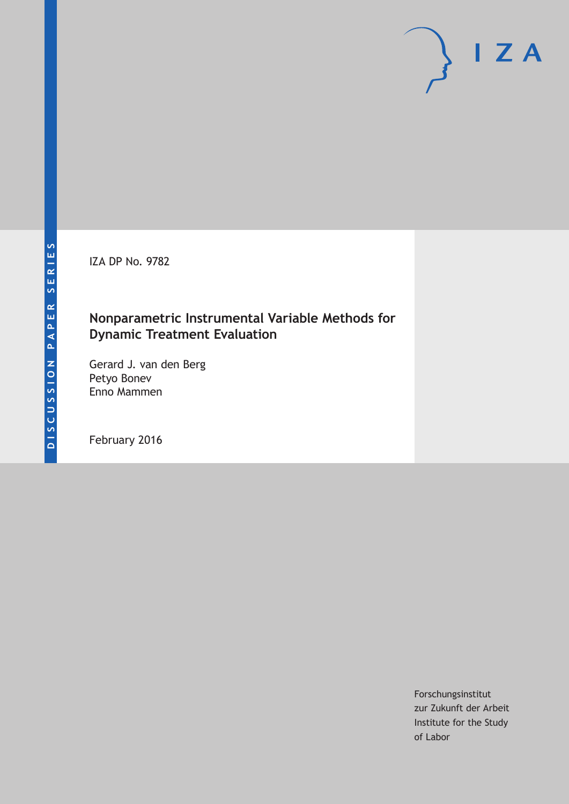IZA DP No. 9782

## **Nonparametric Instrumental Variable Methods for Dynamic Treatment Evaluation**

Gerard J. van den Berg Petyo Bonev Enno Mammen

February 2016

Forschungsinstitut zur Zukunft der Arbeit Institute for the Study of Labor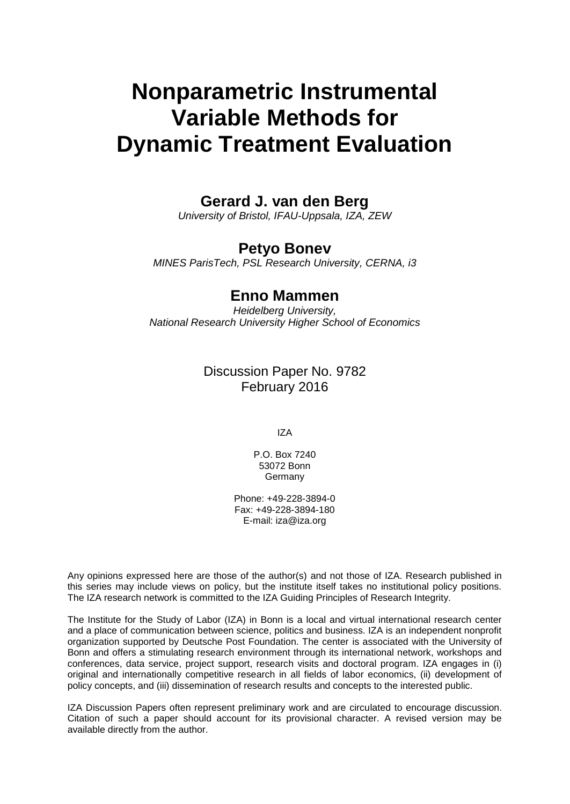# **Nonparametric Instrumental Variable Methods for Dynamic Treatment Evaluation**

## **Gerard J. van den Berg**

*University of Bristol, IFAU-Uppsala, IZA, ZEW*

## **Petyo Bonev**

*MINES ParisTech, PSL Research University, CERNA, i3*

## **Enno Mammen**

*Heidelberg University, National Research University Higher School of Economics*

### Discussion Paper No. 9782 February 2016

IZA

P.O. Box 7240 53072 Bonn Germany

Phone: +49-228-3894-0 Fax: +49-228-3894-180 E-mail: iza@iza.org

Any opinions expressed here are those of the author(s) and not those of IZA. Research published in this series may include views on policy, but the institute itself takes no institutional policy positions. The IZA research network is committed to the IZA Guiding Principles of Research Integrity.

The Institute for the Study of Labor (IZA) in Bonn is a local and virtual international research center and a place of communication between science, politics and business. IZA is an independent nonprofit organization supported by Deutsche Post Foundation. The center is associated with the University of Bonn and offers a stimulating research environment through its international network, workshops and conferences, data service, project support, research visits and doctoral program. IZA engages in (i) original and internationally competitive research in all fields of labor economics, (ii) development of policy concepts, and (iii) dissemination of research results and concepts to the interested public.

IZA Discussion Papers often represent preliminary work and are circulated to encourage discussion. Citation of such a paper should account for its provisional character. A revised version may be available directly from the author.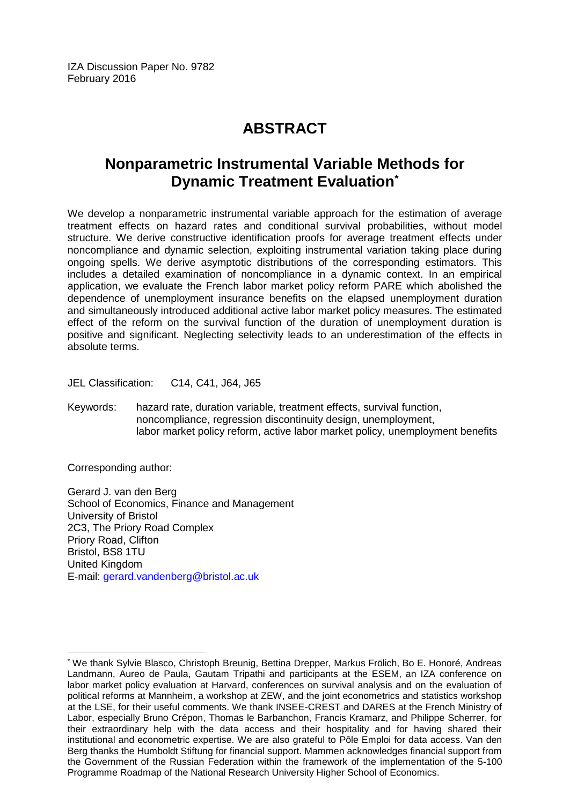## **ABSTRACT**

## **Nonparametric Instrumental Variable Methods for Dynamic Treatment Evaluation\***

We develop a nonparametric instrumental variable approach for the estimation of average treatment effects on hazard rates and conditional survival probabilities, without model structure. We derive constructive identification proofs for average treatment effects under noncompliance and dynamic selection, exploiting instrumental variation taking place during ongoing spells. We derive asymptotic distributions of the corresponding estimators. This includes a detailed examination of noncompliance in a dynamic context. In an empirical application, we evaluate the French labor market policy reform PARE which abolished the dependence of unemployment insurance benefits on the elapsed unemployment duration and simultaneously introduced additional active labor market policy measures. The estimated effect of the reform on the survival function of the duration of unemployment duration is positive and significant. Neglecting selectivity leads to an underestimation of the effects in absolute terms.

JEL Classification: C14, C41, J64, J65

Keywords: hazard rate, duration variable, treatment effects, survival function, noncompliance, regression discontinuity design, unemployment, labor market policy reform, active labor market policy, unemployment benefits

Corresponding author:

 $\overline{a}$ 

Gerard J. van den Berg School of Economics, Finance and Management University of Bristol 2C3, The Priory Road Complex Priory Road, Clifton Bristol, BS8 1TU United Kingdom E-mail: [gerard.vandenberg@bristol.ac.uk](mailto:gerard.vandenberg@bristol.ac.uk)

<sup>\*</sup> We thank Sylvie Blasco, Christoph Breunig, Bettina Drepper, Markus Frölich, Bo E. Honoré, Andreas Landmann, Aureo de Paula, Gautam Tripathi and participants at the ESEM, an IZA conference on labor market policy evaluation at Harvard, conferences on survival analysis and on the evaluation of political reforms at Mannheim, a workshop at ZEW, and the joint econometrics and statistics workshop at the LSE, for their useful comments. We thank INSEE-CREST and DARES at the French Ministry of Labor, especially Bruno Crépon, Thomas le Barbanchon, Francis Kramarz, and Philippe Scherrer, for their extraordinary help with the data access and their hospitality and for having shared their institutional and econometric expertise. We are also grateful to Pôle Emploi for data access. Van den Berg thanks the Humboldt Stiftung for financial support. Mammen acknowledges financial support from the Government of the Russian Federation within the framework of the implementation of the 5-100 Programme Roadmap of the National Research University Higher School of Economics.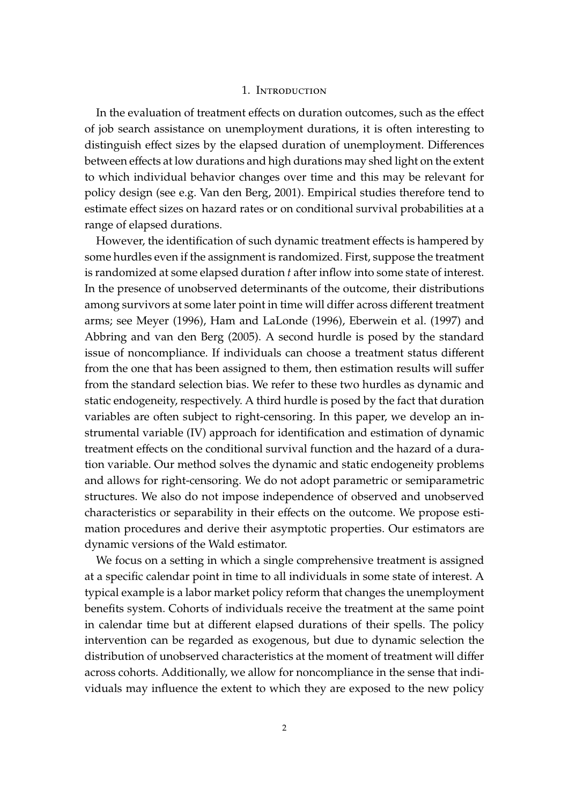#### 1. INTRODUCTION

In the evaluation of treatment effects on duration outcomes, such as the effect of job search assistance on unemployment durations, it is often interesting to distinguish effect sizes by the elapsed duration of unemployment. Differences between effects at low durations and high durations may shed light on the extent to which individual behavior changes over time and this may be relevant for policy design (see e.g. Van den Berg, 2001). Empirical studies therefore tend to estimate effect sizes on hazard rates or on conditional survival probabilities at a range of elapsed durations.

However, the identification of such dynamic treatment effects is hampered by some hurdles even if the assignment is randomized. First, suppose the treatment is randomized at some elapsed duration *t* after inflow into some state of interest. In the presence of unobserved determinants of the outcome, their distributions among survivors at some later point in time will differ across different treatment arms; see Meyer (1996), Ham and LaLonde (1996), Eberwein et al. (1997) and Abbring and van den Berg (2005). A second hurdle is posed by the standard issue of noncompliance. If individuals can choose a treatment status different from the one that has been assigned to them, then estimation results will suffer from the standard selection bias. We refer to these two hurdles as dynamic and static endogeneity, respectively. A third hurdle is posed by the fact that duration variables are often subject to right-censoring. In this paper, we develop an instrumental variable (IV) approach for identification and estimation of dynamic treatment effects on the conditional survival function and the hazard of a duration variable. Our method solves the dynamic and static endogeneity problems and allows for right-censoring. We do not adopt parametric or semiparametric structures. We also do not impose independence of observed and unobserved characteristics or separability in their effects on the outcome. We propose estimation procedures and derive their asymptotic properties. Our estimators are dynamic versions of the Wald estimator.

We focus on a setting in which a single comprehensive treatment is assigned at a specific calendar point in time to all individuals in some state of interest. A typical example is a labor market policy reform that changes the unemployment benefits system. Cohorts of individuals receive the treatment at the same point in calendar time but at different elapsed durations of their spells. The policy intervention can be regarded as exogenous, but due to dynamic selection the distribution of unobserved characteristics at the moment of treatment will differ across cohorts. Additionally, we allow for noncompliance in the sense that individuals may influence the extent to which they are exposed to the new policy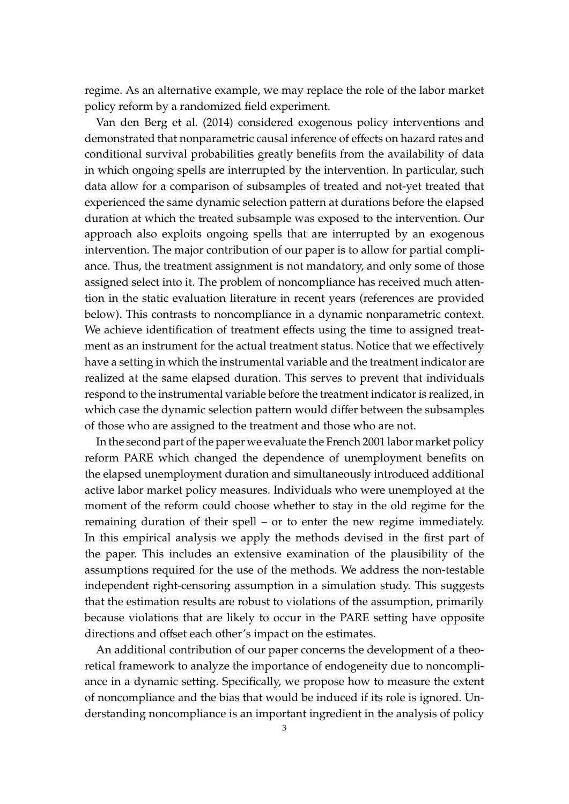regime. As an alternative example, we may replace the role of the labor market policy reform by a randomized field experiment.

Van den Berg et al. (2014) considered exogenous policy interventions and demonstrated that nonparametric causal inference of effects on hazard rates and conditional survival probabilities greatly benefits from the availability of data in which ongoing spells are interrupted by the intervention. In particular, such data allow for a comparison of subsamples of treated and not-yet treated that experienced the same dynamic selection pattern at durations before the elapsed duration at which the treated subsample was exposed to the intervention. Our approach also exploits ongoing spells that are interrupted by an exogenous intervention. The major contribution of our paper is to allow for partial compliance. Thus, the treatment assignment is not mandatory, and only some of those assigned select into it. The problem of noncompliance has received much attention in the static evaluation literature in recent years (references are provided below). This contrasts to noncompliance in a dynamic nonparametric context. We achieve identification of treatment effects using the time to assigned treatment as an instrument for the actual treatment status. Notice that we effectively have a setting in which the instrumental variable and the treatment indicator are realized at the same elapsed duration. This serves to prevent that individuals respond to the instrumental variable before the treatment indicator is realized, in which case the dynamic selection pattern would differ between the subsamples of those who are assigned to the treatment and those who are not.

In the second part of the paper we evaluate the French 2001 labor market policy reform PARE which changed the dependence of unemployment benefits on the elapsed unemployment duration and simultaneously introduced additional active labor market policy measures. Individuals who were unemployed at the moment of the reform could choose whether to stay in the old regime for the remaining duration of their spell – or to enter the new regime immediately. In this empirical analysis we apply the methods devised in the first part of the paper. This includes an extensive examination of the plausibility of the assumptions required for the use of the methods. We address the non-testable independent right-censoring assumption in a simulation study. This suggests that the estimation results are robust to violations of the assumption, primarily because violations that are likely to occur in the PARE setting have opposite directions and offset each other's impact on the estimates.

An additional contribution of our paper concerns the development of a theoretical framework to analyze the importance of endogeneity due to noncompliance in a dynamic setting. Specifically, we propose how to measure the extent of noncompliance and the bias that would be induced if its role is ignored. Understanding noncompliance is an important ingredient in the analysis of policy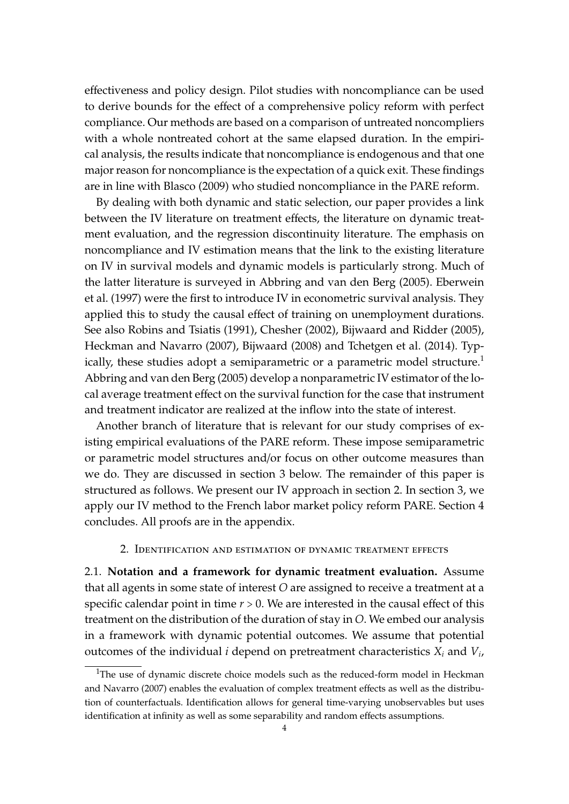effectiveness and policy design. Pilot studies with noncompliance can be used to derive bounds for the effect of a comprehensive policy reform with perfect compliance. Our methods are based on a comparison of untreated noncompliers with a whole nontreated cohort at the same elapsed duration. In the empirical analysis, the results indicate that noncompliance is endogenous and that one major reason for noncompliance is the expectation of a quick exit. These findings are in line with Blasco (2009) who studied noncompliance in the PARE reform.

By dealing with both dynamic and static selection, our paper provides a link between the IV literature on treatment effects, the literature on dynamic treatment evaluation, and the regression discontinuity literature. The emphasis on noncompliance and IV estimation means that the link to the existing literature on IV in survival models and dynamic models is particularly strong. Much of the latter literature is surveyed in Abbring and van den Berg (2005). Eberwein et al. (1997) were the first to introduce IV in econometric survival analysis. They applied this to study the causal effect of training on unemployment durations. See also Robins and Tsiatis (1991), Chesher (2002), Bijwaard and Ridder (2005), Heckman and Navarro (2007), Bijwaard (2008) and Tchetgen et al. (2014). Typically, these studies adopt a semiparametric or a parametric model structure.<sup>1</sup> Abbring and van den Berg (2005) develop a nonparametric IV estimator of the local average treatment effect on the survival function for the case that instrument and treatment indicator are realized at the inflow into the state of interest.

Another branch of literature that is relevant for our study comprises of existing empirical evaluations of the PARE reform. These impose semiparametric or parametric model structures and/or focus on other outcome measures than we do. They are discussed in section 3 below. The remainder of this paper is structured as follows. We present our IV approach in section 2. In section 3, we apply our IV method to the French labor market policy reform PARE. Section 4 concludes. All proofs are in the appendix.

#### 2. Identification and estimation of dynamic treatment effects

2.1. **Notation and a framework for dynamic treatment evaluation.** Assume that all agents in some state of interest *O* are assigned to receive a treatment at a specific calendar point in time  $r > 0$ . We are interested in the causal effect of this treatment on the distribution of the duration of stay in *O*. We embed our analysis in a framework with dynamic potential outcomes. We assume that potential outcomes of the individual *i* depend on pretreatment characteristics *X<sup>i</sup>* and *V<sup>i</sup>* ,

<sup>&</sup>lt;sup>1</sup>The use of dynamic discrete choice models such as the reduced-form model in Heckman and Navarro (2007) enables the evaluation of complex treatment effects as well as the distribution of counterfactuals. Identification allows for general time-varying unobservables but uses identification at infinity as well as some separability and random effects assumptions.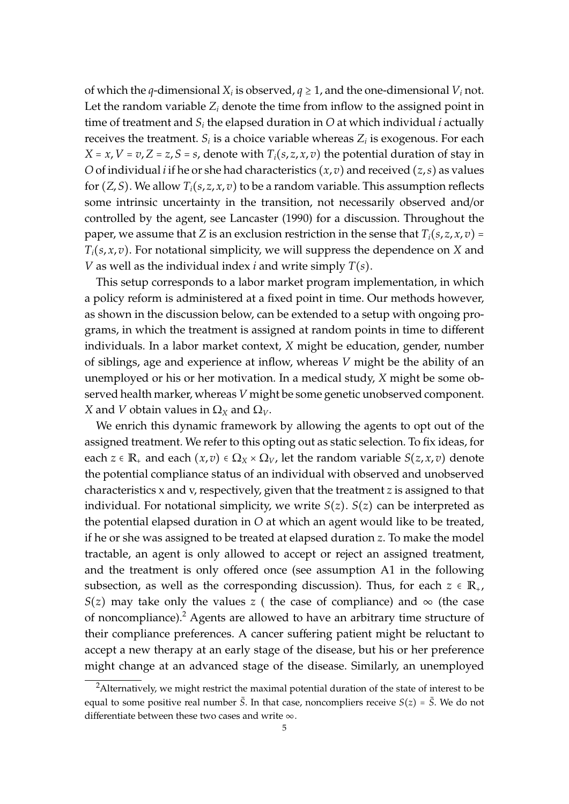of which the *q*-dimensional  $X_i$  is observed,  $q \geq 1$ , and the one-dimensional  $V_i$  not. Let the random variable  $Z_i$  denote the time from inflow to the assigned point in time of treatment and  $S_i$  the elapsed duration in  $O$  at which individual *i* actually receives the treatment.  $S_i$  is a choice variable whereas  $Z_i$  is exogenous. For each  $X = x, V = v, Z = z, S = s$ , denote with  $T_i(s, z, x, v)$  the potential duration of stay in *O* of individual *i* if he or she had characteristics  $(x, v)$  and received  $(z, s)$  as values for  $(Z, S)$ . We allow  $T_i(s, z, x, v)$  to be a random variable. This assumption reflects some intrinsic uncertainty in the transition, not necessarily observed and/or controlled by the agent, see Lancaster (1990) for a discussion. Throughout the paper, we assume that *Z* is an exclusion restriction in the sense that  $T_i(s, z, x, v) =$ *Ti*(*s*, *x*, *v*). For notational simplicity, we will suppress the dependence on *X* and *V* as well as the individual index *i* and write simply *T*(*s*).

This setup corresponds to a labor market program implementation, in which a policy reform is administered at a fixed point in time. Our methods however, as shown in the discussion below, can be extended to a setup with ongoing programs, in which the treatment is assigned at random points in time to different individuals. In a labor market context, *X* might be education, gender, number of siblings, age and experience at inflow, whereas *V* might be the ability of an unemployed or his or her motivation. In a medical study, *X* might be some observed health marker, whereas *V* might be some genetic unobserved component. *X* and *V* obtain values in  $\Omega_X$  and  $\Omega_V$ .

We enrich this dynamic framework by allowing the agents to opt out of the assigned treatment. We refer to this opting out as static selection. To fix ideas, for each  $z \in \mathbb{R}_+$  and each  $(x, v) \in \Omega_X \times \Omega_V$ , let the random variable  $S(z, x, v)$  denote the potential compliance status of an individual with observed and unobserved characteristics x and v, respectively, given that the treatment *z* is assigned to that individual. For notational simplicity, we write  $S(z)$ .  $S(z)$  can be interpreted as the potential elapsed duration in *O* at which an agent would like to be treated, if he or she was assigned to be treated at elapsed duration *z*. To make the model tractable, an agent is only allowed to accept or reject an assigned treatment, and the treatment is only offered once (see assumption A1 in the following subsection, as well as the corresponding discussion). Thus, for each  $z \in \mathbb{R}_{+}$ , *S*(*z*) may take only the values *z* ( the case of compliance) and  $\infty$  (the case of noncompliance).<sup>2</sup> Agents are allowed to have an arbitrary time structure of their compliance preferences. A cancer suffering patient might be reluctant to accept a new therapy at an early stage of the disease, but his or her preference might change at an advanced stage of the disease. Similarly, an unemployed

 $2$ Alternatively, we might restrict the maximal potential duration of the state of interest to be equal to some positive real number  $\bar{S}$ . In that case, noncompliers receive  $S(z) = \bar{S}$ . We do not differentiate between these two cases and write  $\infty$ .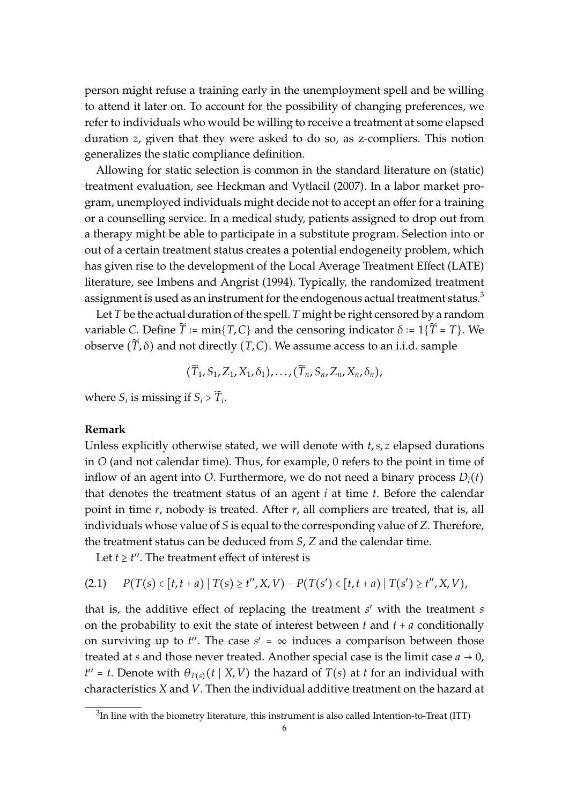person might refuse a training early in the unemployment spell and be willing to attend it later on. To account for the possibility of changing preferences, we refer to individuals who would be willing to receive a treatment at some elapsed duration *z*, given that they were asked to do so, as z-compliers. This notion generalizes the static compliance definition.

Allowing for static selection is common in the standard literature on (static) treatment evaluation, see Heckman and Vytlacil (2007). In a labor market program, unemployed individuals might decide not to accept an offer for a training or a counselling service. In a medical study, patients assigned to drop out from a therapy might be able to participate in a substitute program. Selection into or out of a certain treatment status creates a potential endogeneity problem, which has given rise to the development of the Local Average Treatment Effect (LATE) literature, see Imbens and Angrist (1994). Typically, the randomized treatment assignment is used as an instrument for the endogenous actual treatment status.<sup>3</sup>

Let *T* be the actual duration of the spell. *T* might be right censored by a random variable *C*. Define  $\widetilde{T}$  := min{*T*,*C*} and the censoring indicator  $\delta$  := 1{ $\widetilde{T}$  = *T*}. We observe  $(\tilde{T}, \delta)$  and not directly  $(T, C)$ . We assume access to an i.i.d. sample

$$
(\widetilde{T}_1,S_1,Z_1,X_1,\delta_1),\ldots,(\widetilde{T}_n,S_n,Z_n,X_n,\delta_n),
$$

where  $S_i$  is missing if  $S_i > \widetilde{T}_i$ .

#### **Remark**

Unless explicitly otherwise stated, we will denote with *t*,*s*, *z* elapsed durations in *O* (and not calendar time). Thus, for example, 0 refers to the point in time of inflow of an agent into *O*. Furthermore, we do not need a binary process  $D_i(t)$ that denotes the treatment status of an agent *i* at time *t*. Before the calendar point in time *r*, nobody is treated. After *r*, all compliers are treated, that is, all individuals whose value of *S* is equal to the corresponding value of *Z*. Therefore, the treatment status can be deduced from *S*, *Z* and the calendar time.

Let  $t \geq t''$ . The treatment effect of interest is

$$
(2.1) \qquad P(T(s) \in [t, t+a) \mid T(s) \ge t'', X, V) - P(T(s') \in [t, t+a) \mid T(s') \ge t'', X, V),
$$

that is, the additive effect of replacing the treatment *s* ′ with the treatment *s* on the probability to exit the state of interest between  $t$  and  $t + a$  conditionally on surviving up to  $t''$ . The case  $s' = \infty$  induces a comparison between those treated at *s* and those never treated. Another special case is the limit case  $a \rightarrow 0$ , *t*<sup>*''*</sup> = *t*. Denote with  $\theta_{T(s)}(t | X, V)$  the hazard of *T*(*s*) at *t* for an individual with characteristics *X* and *V*. Then the individual additive treatment on the hazard at

 $^3$ In line with the biometry literature, this instrument is also called Intention-to-Treat (ITT)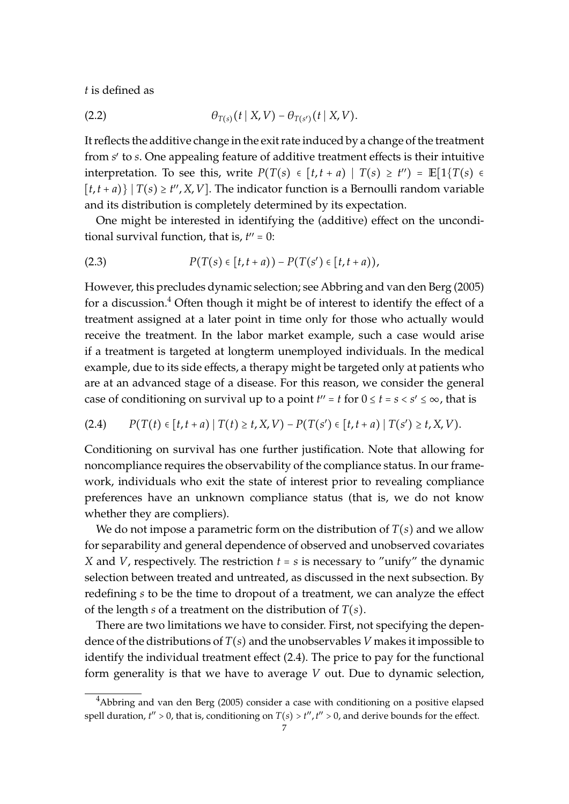*t* is defined as

(2.2) 
$$
\theta_{T(s)}(t | X, V) - \theta_{T(s')}(t | X, V).
$$

It reflects the additive change in the exit rate induced by a change of the treatment from *s* ′ to *s*. One appealing feature of additive treatment effects is their intuitive interpretation. To see this, write  $P(T(s) \in [t, t + a) | T(s) \ge t'') = \mathbb{E}[1\{T(s) \in [t, t + a] \mid T(s) \ge t''\}]$  $[t, t + a)$ }  $T(s) \ge t'', X, V$ ]. The indicator function is a Bernoulli random variable and its distribution is completely determined by its expectation.

One might be interested in identifying the (additive) effect on the unconditional survival function, that is,  $t'' = 0$ :

(2.3) 
$$
P(T(s) \in [t, t+a)) - P(T(s') \in [t, t+a)),
$$

However, this precludes dynamic selection; see Abbring and van den Berg (2005) for a discussion.<sup>4</sup> Often though it might be of interest to identify the effect of a treatment assigned at a later point in time only for those who actually would receive the treatment. In the labor market example, such a case would arise if a treatment is targeted at longterm unemployed individuals. In the medical example, due to its side effects, a therapy might be targeted only at patients who are at an advanced stage of a disease. For this reason, we consider the general case of conditioning on survival up to a point  $t'' = t$  for  $0 \le t = s < s' \le \infty$ , that is

$$
(2.4) \qquad P(T(t) \in [t, t+a) \mid T(t) \ge t, X, V) - P(T(s') \in [t, t+a) \mid T(s') \ge t, X, V).
$$

Conditioning on survival has one further justification. Note that allowing for noncompliance requires the observability of the compliance status. In our framework, individuals who exit the state of interest prior to revealing compliance preferences have an unknown compliance status (that is, we do not know whether they are compliers).

We do not impose a parametric form on the distribution of *T*(*s*) and we allow for separability and general dependence of observed and unobserved covariates *X* and *V*, respectively. The restriction  $t = s$  is necessary to "unify" the dynamic selection between treated and untreated, as discussed in the next subsection. By redefining *s* to be the time to dropout of a treatment, we can analyze the effect of the length *s* of a treatment on the distribution of *T*(*s*).

There are two limitations we have to consider. First, not specifying the dependence of the distributions of *T*(*s*) and the unobservables *V* makes it impossible to identify the individual treatment effect (2.4). The price to pay for the functional form generality is that we have to average *V* out. Due to dynamic selection,

 $4$ Abbring and van den Berg (2005) consider a case with conditioning on a positive elapsed spell duration,  $t'' > 0$ , that is, conditioning on  $T(s) > t''$ ,  $t'' > 0$ , and derive bounds for the effect.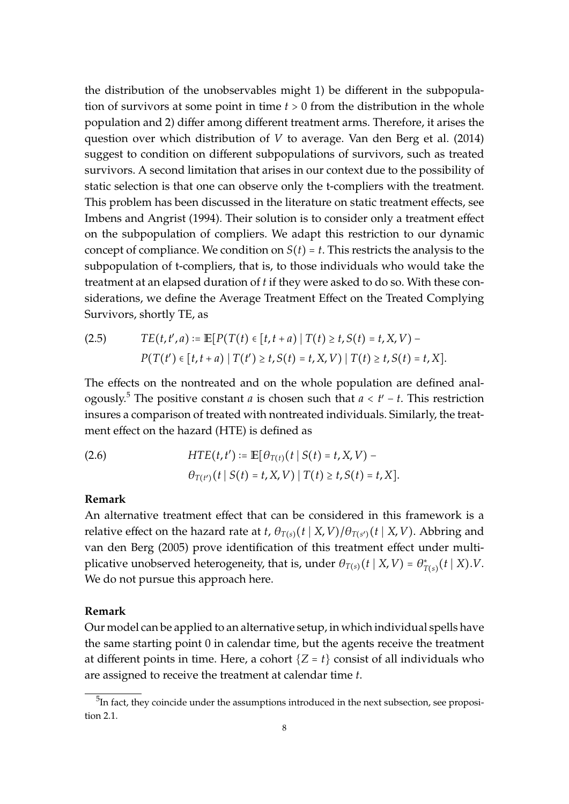the distribution of the unobservables might 1) be different in the subpopulation of survivors at some point in time *t* > 0 from the distribution in the whole population and 2) differ among different treatment arms. Therefore, it arises the question over which distribution of *V* to average. Van den Berg et al. (2014) suggest to condition on different subpopulations of survivors, such as treated survivors. A second limitation that arises in our context due to the possibility of static selection is that one can observe only the t-compliers with the treatment. This problem has been discussed in the literature on static treatment effects, see Imbens and Angrist (1994). Their solution is to consider only a treatment effect on the subpopulation of compliers. We adapt this restriction to our dynamic concept of compliance. We condition on  $S(t) = t$ . This restricts the analysis to the subpopulation of t-compliers, that is, to those individuals who would take the treatment at an elapsed duration of *t* if they were asked to do so. With these considerations, we define the Average Treatment Effect on the Treated Complying Survivors, shortly TE, as

(2.5) 
$$
TE(t, t', a) := \mathbb{E}[P(T(t) \in [t, t + a) | T(t) \ge t, S(t) = t, X, V) - P(T(t') \in [t, t + a) | T(t') \ge t, S(t) = t, X, V) | T(t) \ge t, S(t) = t, X].
$$

The effects on the nontreated and on the whole population are defined analogously.<sup>5</sup> The positive constant *a* is chosen such that *a* < *t* ′ − *t*. This restriction insures a comparison of treated with nontreated individuals. Similarly, the treatment effect on the hazard (HTE) is defined as

(2.6) 
$$
HTE(t, t') := \mathbb{E}[\theta_{T(t)}(t | S(t) = t, X, V) - \theta_{T(t')}(t | S(t) = t, X, V) | T(t) \ge t, S(t) = t, X].
$$

#### **Remark**

An alternative treatment effect that can be considered in this framework is a relative effect on the hazard rate at *t*,  $\theta_{T(s)}(t \mid X, V) / \theta_{T(s')}(t \mid X, V)$ . Abbring and van den Berg (2005) prove identification of this treatment effect under multiplicative unobserved heterogeneity, that is, under  $\theta_{T(s)}(t | X, V) = \theta_T^*$ *T*(*s*) (*t* ∣ *X*).*V*. We do not pursue this approach here.

#### **Remark**

Our model can be applied to an alternative setup, in which individual spells have the same starting point 0 in calendar time, but the agents receive the treatment at different points in time. Here, a cohort  $\{Z = t\}$  consist of all individuals who are assigned to receive the treatment at calendar time *t*.

 $^5$ In fact, they coincide under the assumptions introduced in the next subsection, see proposition 2.1.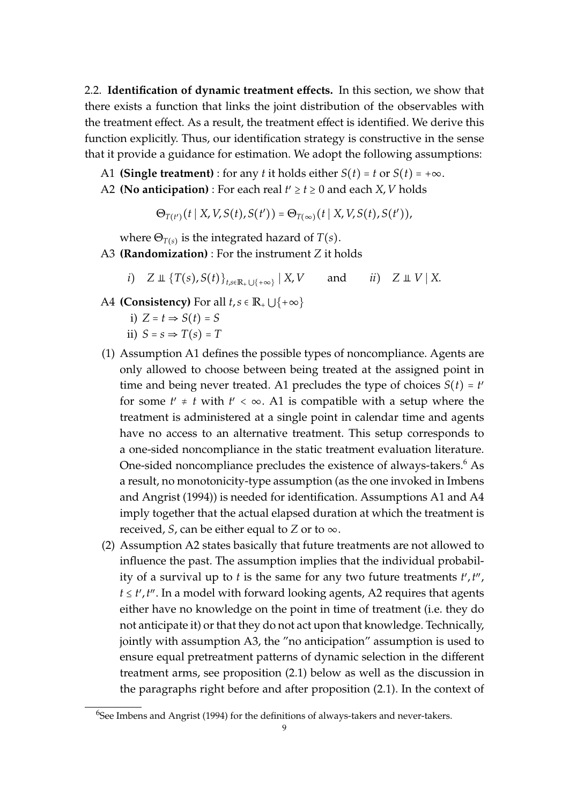2.2. **Identification of dynamic treatment e**ff**ects.** In this section, we show that there exists a function that links the joint distribution of the observables with the treatment effect. As a result, the treatment effect is identified. We derive this function explicitly. Thus, our identification strategy is constructive in the sense that it provide a guidance for estimation. We adopt the following assumptions:

- A1 **(Single treatment)** : for any *t* it holds either  $S(t) = t$  or  $S(t) = +\infty$ .
- A2 (No anticipation) : For each real  $t' \ge t \ge 0$  and each  $X, V$  holds

 $\Theta_{T(t')}(t | X, V, S(t), S(t')) = \Theta_{T(\infty)}(t | X, V, S(t), S(t'))$ 

where  $\Theta_{T(s)}$  is the integrated hazard of  $T(s).$ 

- A3 **(Randomization)** : For the instrument *Z* it holds
	- *i*)  $Z \perp \!\!\!\perp \{T(s), S(t)\}_{t \in \mathbb{R}+ \lfloor s+m \rfloor} | X, V$  $i \in \mathbb{Z} \cup \mathbb{Z} \cup \mathbb{Z} \cup \mathbb{Z} \times \mathbb{Z}$ .
- A4 **(Consistency)** For all  $t, s \in \mathbb{R}_+ \cup \{+\infty\}$ 
	- i)  $Z = t \Rightarrow S(t) = S$
	- ii)  $S = s \Rightarrow T(s) = T$
- (1) Assumption A1 defines the possible types of noncompliance. Agents are only allowed to choose between being treated at the assigned point in time and being never treated. A1 precludes the type of choices  $S(t) = t'$ for some  $t' \neq t$  with  $t' < \infty$ . A1 is compatible with a setup where the treatment is administered at a single point in calendar time and agents have no access to an alternative treatment. This setup corresponds to a one-sided noncompliance in the static treatment evaluation literature. One-sided noncompliance precludes the existence of always-takers.<sup>6</sup> As a result, no monotonicity-type assumption (as the one invoked in Imbens and Angrist (1994)) is needed for identification. Assumptions A1 and A4 imply together that the actual elapsed duration at which the treatment is received, *S*, can be either equal to *Z* or to  $\infty$ .
- (2) Assumption A2 states basically that future treatments are not allowed to influence the past. The assumption implies that the individual probability of a survival up to *t* is the same for any two future treatments *t* ′ ,*t* ′′ , *t* ≤ *t'*,*t*". In a model with forward looking agents, A2 requires that agents either have no knowledge on the point in time of treatment (i.e. they do not anticipate it) or that they do not act upon that knowledge. Technically, jointly with assumption A3, the "no anticipation" assumption is used to ensure equal pretreatment patterns of dynamic selection in the different treatment arms, see proposition (2.1) below as well as the discussion in the paragraphs right before and after proposition (2.1). In the context of

 $^{6}$ See Imbens and Angrist (1994) for the definitions of always-takers and never-takers.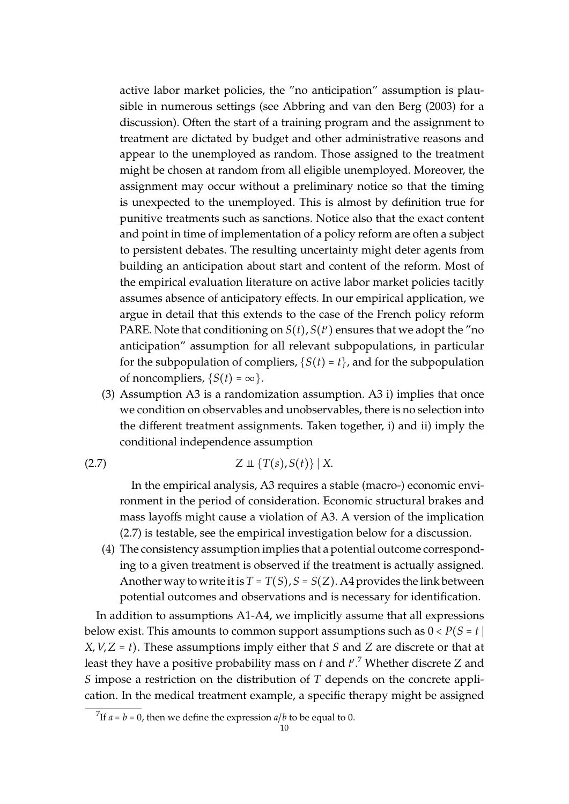active labor market policies, the "no anticipation" assumption is plausible in numerous settings (see Abbring and van den Berg (2003) for a discussion). Often the start of a training program and the assignment to treatment are dictated by budget and other administrative reasons and appear to the unemployed as random. Those assigned to the treatment might be chosen at random from all eligible unemployed. Moreover, the assignment may occur without a preliminary notice so that the timing is unexpected to the unemployed. This is almost by definition true for punitive treatments such as sanctions. Notice also that the exact content and point in time of implementation of a policy reform are often a subject to persistent debates. The resulting uncertainty might deter agents from building an anticipation about start and content of the reform. Most of the empirical evaluation literature on active labor market policies tacitly assumes absence of anticipatory effects. In our empirical application, we argue in detail that this extends to the case of the French policy reform PARE. Note that conditioning on  $S(t)$ ,  $S(t')$  ensures that we adopt the "no anticipation" assumption for all relevant subpopulations, in particular for the subpopulation of compliers,  $\{S(t) = t\}$ , and for the subpopulation of noncompliers,  $\{S(t) = \infty\}$ .

(3) Assumption A3 is a randomization assumption. A3 i) implies that once we condition on observables and unobservables, there is no selection into the different treatment assignments. Taken together, i) and ii) imply the conditional independence assumption

$$
(2.7) \tZ \perp \{T(s), S(t)\} | X.
$$

In the empirical analysis, A3 requires a stable (macro-) economic environment in the period of consideration. Economic structural brakes and mass layoffs might cause a violation of A3. A version of the implication (2.7) is testable, see the empirical investigation below for a discussion.

(4) The consistency assumption implies that a potential outcome corresponding to a given treatment is observed if the treatment is actually assigned. Another way to write it is  $T = T(S), S = S(Z)$ . A4 provides the link between potential outcomes and observations and is necessary for identification.

In addition to assumptions A1-A4, we implicitly assume that all expressions below exist. This amounts to common support assumptions such as  $0 < P(S = t)$ *X*, *V*,*Z* = *t*). These assumptions imply either that *S* and *Z* are discrete or that at least they have a positive probability mass on *t* and *t* ′ . <sup>7</sup> Whether discrete *Z* and *S* impose a restriction on the distribution of *T* depends on the concrete application. In the medical treatment example, a specific therapy might be assigned

<sup>&</sup>lt;sup>7</sup>If  $a = b = 0$ , then we define the expression  $a/b$  to be equal to 0.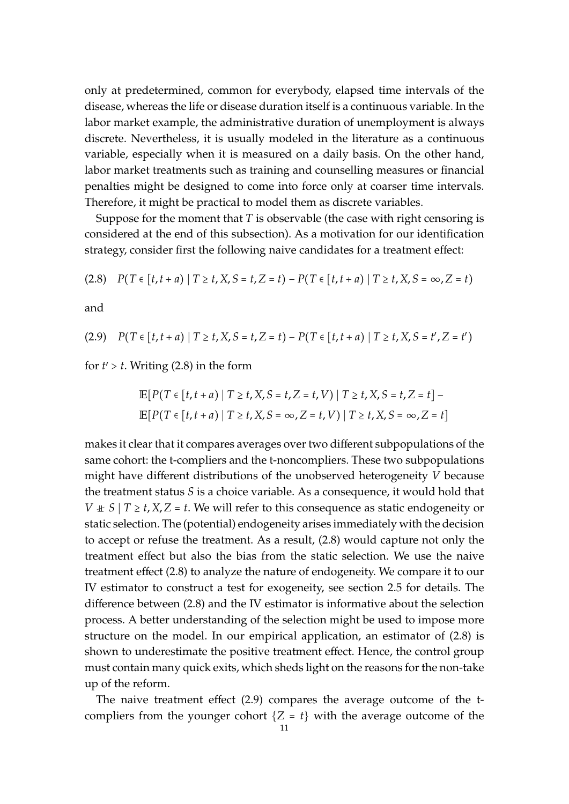only at predetermined, common for everybody, elapsed time intervals of the disease, whereas the life or disease duration itself is a continuous variable. In the labor market example, the administrative duration of unemployment is always discrete. Nevertheless, it is usually modeled in the literature as a continuous variable, especially when it is measured on a daily basis. On the other hand, labor market treatments such as training and counselling measures or financial penalties might be designed to come into force only at coarser time intervals. Therefore, it might be practical to model them as discrete variables.

Suppose for the moment that *T* is observable (the case with right censoring is considered at the end of this subsection). As a motivation for our identification strategy, consider first the following naive candidates for a treatment effect:

$$
(2.8) \quad P(T \in [t, t + a) \mid T \ge t, X, S = t, Z = t) - P(T \in [t, t + a) \mid T \ge t, X, S = \infty, Z = t)
$$

and

(2.9) 
$$
P(T \in [t, t + a) | T \ge t, X, S = t, Z = t) - P(T \in [t, t + a) | T \ge t, X, S = t', Z = t')
$$

for  $t'$  >  $t$ . Writing (2.8) in the form

$$
\mathbb{E}[P(T \in [t, t + a) | T \ge t, X, S = t, Z = t, V) | T \ge t, X, S = t, Z = t] - \mathbb{E}[P(T \in [t, t + a) | T \ge t, X, S = \infty, Z = t, V) | T \ge t, X, S = \infty, Z = t]
$$

makes it clear that it compares averages over two different subpopulations of the same cohort: the t-compliers and the t-noncompliers. These two subpopulations might have different distributions of the unobserved heterogeneity *V* because the treatment status *S* is a choice variable. As a consequence, it would hold that *V*  $\pm$  *S* | *T*  $\geq$  *t*, *X*, *Z* = *t*. We will refer to this consequence as static endogeneity or static selection. The (potential) endogeneity arises immediately with the decision to accept or refuse the treatment. As a result, (2.8) would capture not only the treatment effect but also the bias from the static selection. We use the naive treatment effect (2.8) to analyze the nature of endogeneity. We compare it to our IV estimator to construct a test for exogeneity, see section 2.5 for details. The difference between (2.8) and the IV estimator is informative about the selection process. A better understanding of the selection might be used to impose more structure on the model. In our empirical application, an estimator of (2.8) is shown to underestimate the positive treatment effect. Hence, the control group must contain many quick exits, which sheds light on the reasons for the non-take up of the reform.

The naive treatment effect (2.9) compares the average outcome of the tcompliers from the younger cohort  ${Z = t}$  with the average outcome of the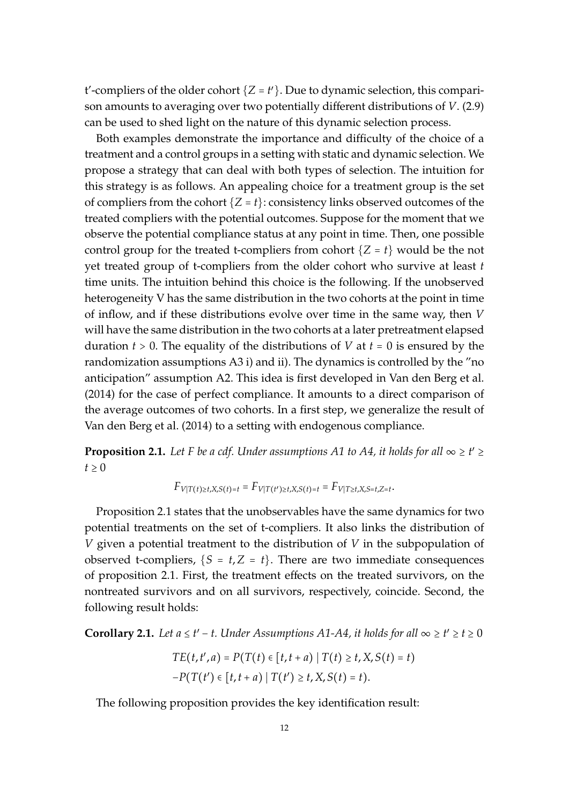t'-compliers of the older cohort  $\{Z = t'\}$ . Due to dynamic selection, this comparison amounts to averaging over two potentially different distributions of *V*. (2.9) can be used to shed light on the nature of this dynamic selection process.

Both examples demonstrate the importance and difficulty of the choice of a treatment and a control groups in a setting with static and dynamic selection. We propose a strategy that can deal with both types of selection. The intuition for this strategy is as follows. An appealing choice for a treatment group is the set of compliers from the cohort  $\{Z = t\}$ : consistency links observed outcomes of the treated compliers with the potential outcomes. Suppose for the moment that we observe the potential compliance status at any point in time. Then, one possible control group for the treated t-compliers from cohort  ${Z = t}$  would be the not yet treated group of t-compliers from the older cohort who survive at least *t* time units. The intuition behind this choice is the following. If the unobserved heterogeneity V has the same distribution in the two cohorts at the point in time of inflow, and if these distributions evolve over time in the same way, then *V* will have the same distribution in the two cohorts at a later pretreatment elapsed duration *t* > 0. The equality of the distributions of *V* at *t* = 0 is ensured by the randomization assumptions A3 i) and ii). The dynamics is controlled by the "no anticipation" assumption A2. This idea is first developed in Van den Berg et al. (2014) for the case of perfect compliance. It amounts to a direct comparison of the average outcomes of two cohorts. In a first step, we generalize the result of Van den Berg et al. (2014) to a setting with endogenous compliance.

**Proposition 2.1.** Let F be a cdf. Under assumptions A1 to A4, it holds for all  $\infty \ge t' \ge$  $t \geq 0$ 

$$
F_{V|T(t)\geq t, X, S(t)=t} = F_{V|T(t')\geq t, X, S(t)=t} = F_{V|T\geq t, X, S=t, Z=t}.
$$

Proposition 2.1 states that the unobservables have the same dynamics for two potential treatments on the set of t-compliers. It also links the distribution of *V* given a potential treatment to the distribution of *V* in the subpopulation of observed t-compliers,  ${S = t, Z = t}$ . There are two immediate consequences of proposition 2.1. First, the treatment effects on the treated survivors, on the nontreated survivors and on all survivors, respectively, coincide. Second, the following result holds:

**Corollary 2.1.** *Let a*  $\leq t' - t$ . *Under Assumptions A1-A4, it holds for all*  $\infty \geq t' \geq t \geq 0$ 

$$
TE(t, t', a) = P(T(t) \in [t, t + a) | T(t) \ge t, X, S(t) = t)
$$
  
- $P(T(t') \in [t, t + a) | T(t') \ge t, X, S(t) = t).$ 

The following proposition provides the key identification result: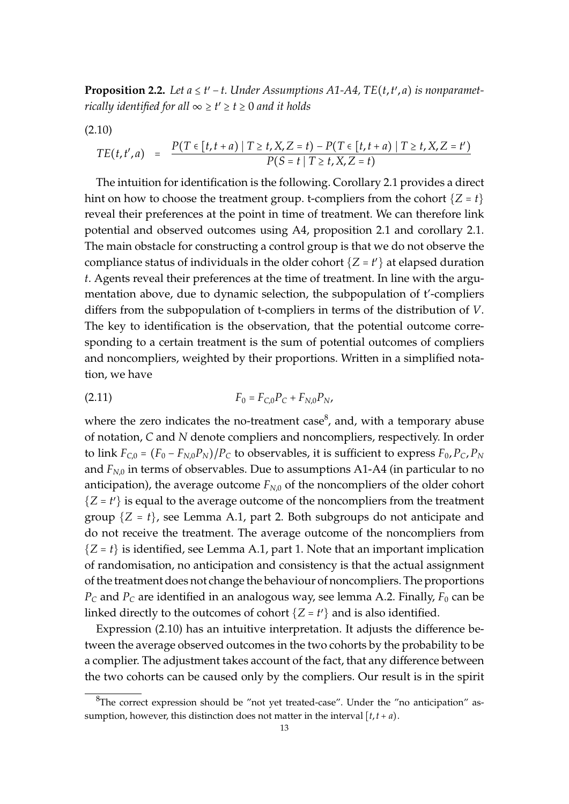**Proposition 2.2.** Let  $a \leq t' - t$ . Under Assumptions A1-A4, TE( $t$ , $t'$ , $a$ ) is nonparamet*rically identified for all* ∞ ≥ *t* ′ ≥ *t* ≥ 0 *and it holds*

(2.10)

$$
TE(t,t',a) = \frac{P(T \in [t,t+a) \mid T \ge t, X, Z=t) - P(T \in [t,t+a) \mid T \ge t, X, Z=t')}{P(S=t \mid T \ge t, X, Z=t)}
$$

The intuition for identification is the following. Corollary 2.1 provides a direct hint on how to choose the treatment group. t-compliers from the cohort  ${Z = t}$ reveal their preferences at the point in time of treatment. We can therefore link potential and observed outcomes using A4, proposition 2.1 and corollary 2.1. The main obstacle for constructing a control group is that we do not observe the compliance status of individuals in the older cohort  $\{Z = t'\}$  at elapsed duration *t*. Agents reveal their preferences at the time of treatment. In line with the argumentation above, due to dynamic selection, the subpopulation of t'-compliers differs from the subpopulation of t-compliers in terms of the distribution of *V*. The key to identification is the observation, that the potential outcome corresponding to a certain treatment is the sum of potential outcomes of compliers and noncompliers, weighted by their proportions. Written in a simplified notation, we have

$$
(2.11) \tF_0 = F_{C,0}P_C + F_{N,0}P_N,
$$

where the zero indicates the no-treatment case<sup>8</sup>, and, with a temporary abuse of notation, *C* and *N* denote compliers and noncompliers, respectively. In order to link  $F_{C,0} = (F_0 - F_{N,0}P_N)/P_C$  to observables, it is sufficient to express  $F_0$ ,  $P_C$ ,  $P_N$ and  $F_{N,0}$  in terms of observables. Due to assumptions A1-A4 (in particular to no anticipation), the average outcome  $F_{N,0}$  of the noncompliers of the older cohort  ${Z = t'}$  is equal to the average outcome of the noncompliers from the treatment group  $\{Z = t\}$ , see Lemma A.1, part 2. Both subgroups do not anticipate and do not receive the treatment. The average outcome of the noncompliers from  ${Z = t}$  is identified, see Lemma A.1, part 1. Note that an important implication of randomisation, no anticipation and consistency is that the actual assignment of the treatment does not change the behaviour of noncompliers. The proportions  $P_c$  and  $P_c$  are identified in an analogous way, see lemma A.2. Finally,  $F_0$  can be linked directly to the outcomes of cohort  $\{Z = t'\}$  and is also identified.

Expression (2.10) has an intuitive interpretation. It adjusts the difference between the average observed outcomes in the two cohorts by the probability to be a complier. The adjustment takes account of the fact, that any difference between the two cohorts can be caused only by the compliers. Our result is in the spirit

 ${}^{8}$ The correct expression should be "not yet treated-case". Under the "no anticipation" assumption, however, this distinction does not matter in the interval  $[t, t + a)$ .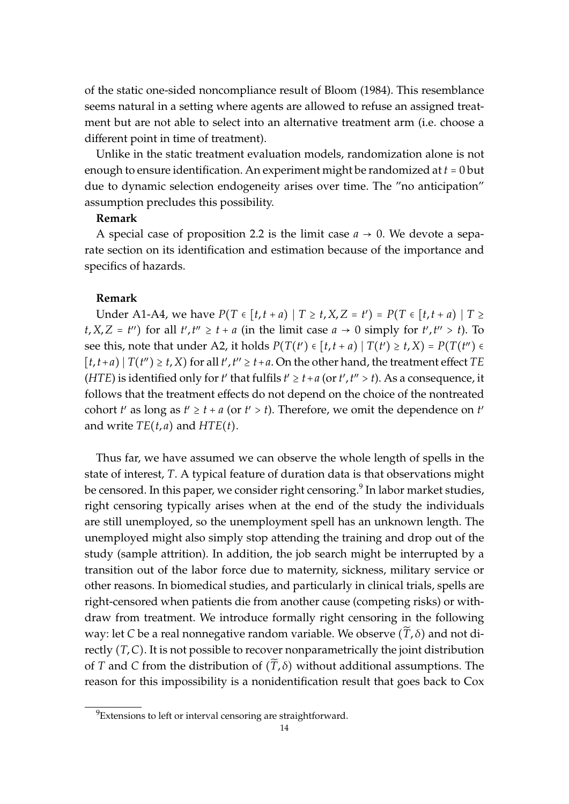of the static one-sided noncompliance result of Bloom (1984). This resemblance seems natural in a setting where agents are allowed to refuse an assigned treatment but are not able to select into an alternative treatment arm (i.e. choose a different point in time of treatment).

Unlike in the static treatment evaluation models, randomization alone is not enough to ensure identification. An experiment might be randomized at *t* = 0 but due to dynamic selection endogeneity arises over time. The "no anticipation" assumption precludes this possibility.

#### **Remark**

A special case of proposition 2.2 is the limit case  $a \rightarrow 0$ . We devote a separate section on its identification and estimation because of the importance and specifics of hazards.

#### **Remark**

Under A1-A4, we have  $P(T ∈ [t, t + a) | T ≥ t, X, Z = t') = P(T ∈ [t, t + a) | T ≥ t$  $t, X, Z = t''$  for all  $t', t'' \geq t + a$  (in the limit case  $a \to 0$  simply for  $t', t'' > t$ ). To see this, note that under A2, it holds  $P(T(t') \in [t, t + a) | T(t') \ge t, X) = P(T(t'') \in$  $[t, t+a)$  |  $T(t'') \geq t$ , *X*) for all  $t'$ ,  $t'' \geq t + a$ . On the other hand, the treatment effect *TE* (*HTE*) is identified only for *t'* that fulfils  $t' \ge t + a$  (or  $t'$ ,  $t'' > t$ ). As a consequence, it follows that the treatment effects do not depend on the choice of the nontreated cohort *t'* as long as  $t' \geq t + a$  (or  $t' > t$ ). Therefore, we omit the dependence on *t'* and write  $TE(t, a)$  and  $HTE(t)$ .

Thus far, we have assumed we can observe the whole length of spells in the state of interest, *T*. A typical feature of duration data is that observations might be censored. In this paper, we consider right censoring. $^9$  In labor market studies, right censoring typically arises when at the end of the study the individuals are still unemployed, so the unemployment spell has an unknown length. The unemployed might also simply stop attending the training and drop out of the study (sample attrition). In addition, the job search might be interrupted by a transition out of the labor force due to maternity, sickness, military service or other reasons. In biomedical studies, and particularly in clinical trials, spells are right-censored when patients die from another cause (competing risks) or withdraw from treatment. We introduce formally right censoring in the following way: let *C* be a real nonnegative random variable. We observe  $(\tilde{T}, \delta)$  and not directly (*T*,*C*). It is not possible to recover nonparametrically the joint distribution of *T* and *C* from the distribution of  $(\widetilde{T}, \delta)$  without additional assumptions. The reason for this impossibility is a nonidentification result that goes back to Cox

 ${}^{9}$ Extensions to left or interval censoring are straightforward.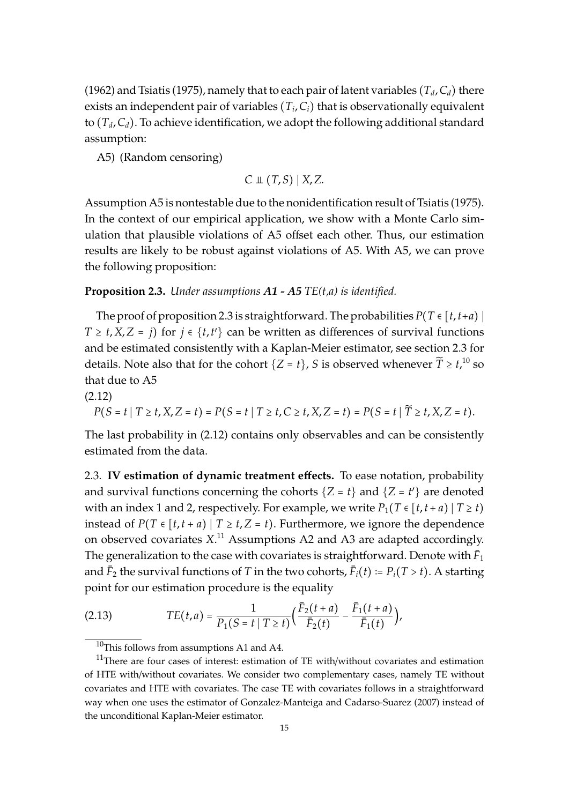(1962) and Tsiatis (1975), namely that to each pair of latent variables ( $T_d$ ,  $C_d$ ) there exists an independent pair of variables (*T<sup>i</sup>* ,*Ci*) that is observationally equivalent to  $(T_d, C_d)$ . To achieve identification, we adopt the following additional standard assumption:

A5) (Random censoring)

$$
C \perp\!\!\!\perp (T,S) | X, Z.
$$

Assumption A5 is nontestable due to the nonidentification result of Tsiatis (1975). In the context of our empirical application, we show with a Monte Carlo simulation that plausible violations of A5 offset each other. Thus, our estimation results are likely to be robust against violations of A5. With A5, we can prove the following proposition:

#### **Proposition 2.3.** *Under assumptions A1 - A5 TE(t,a) is identified.*

The proof of proposition 2.3 is straightforward. The probabilities  $P(T \in [t, t+a)]$ *T*  $\ge$  *t*, *X*, *Z* = *j*) for *j*  $\in$  {*t*,*t*<sup> $\prime$ </sup>} can be written as differences of survival functions and be estimated consistently with a Kaplan-Meier estimator, see section 2.3 for details. Note also that for the cohort  $\{Z = t\}$ , *S* is observed whenever  $\widetilde{T} \geq t$ , <sup>10</sup> so that due to A5

(2.12)

$$
P(S = t | T \ge t, X, Z = t) = P(S = t | T \ge t, C \ge t, X, Z = t) = P(S = t | \widetilde{T} \ge t, X, Z = t).
$$

The last probability in (2.12) contains only observables and can be consistently estimated from the data.

2.3. **IV estimation of dynamic treatment e**ff**ects.** To ease notation, probability and survival functions concerning the cohorts  $\{Z = t\}$  and  $\{Z = t'\}$  are denoted with an index 1 and 2, respectively. For example, we write  $P_1(T \in [t, t + a) | T \ge t)$ instead of  $P(T \in [t, t + a) | T \ge t, Z = t)$ . Furthermore, we ignore the dependence on observed covariates *X*. <sup>11</sup> Assumptions A2 and A3 are adapted accordingly. The generalization to the case with covariates is straightforward. Denote with  $\bar{F}_1$ and  $\bar{F}_2$  the survival functions of *T* in the two cohorts,  $\bar{F}_i(t) \coloneqq P_i(T > t)$ . A starting point for our estimation procedure is the equality

(2.13) 
$$
TE(t,a) = \frac{1}{P_1(S = t | T \ge t)} \Big( \frac{\bar{F}_2(t+a)}{\bar{F}_2(t)} - \frac{\bar{F}_1(t+a)}{\bar{F}_1(t)} \Big),
$$

<sup>&</sup>lt;sup>10</sup>This follows from assumptions A1 and A4.

<sup>&</sup>lt;sup>11</sup>There are four cases of interest: estimation of TE with/without covariates and estimation of HTE with/without covariates. We consider two complementary cases, namely TE without covariates and HTE with covariates. The case TE with covariates follows in a straightforward way when one uses the estimator of Gonzalez-Manteiga and Cadarso-Suarez (2007) instead of the unconditional Kaplan-Meier estimator.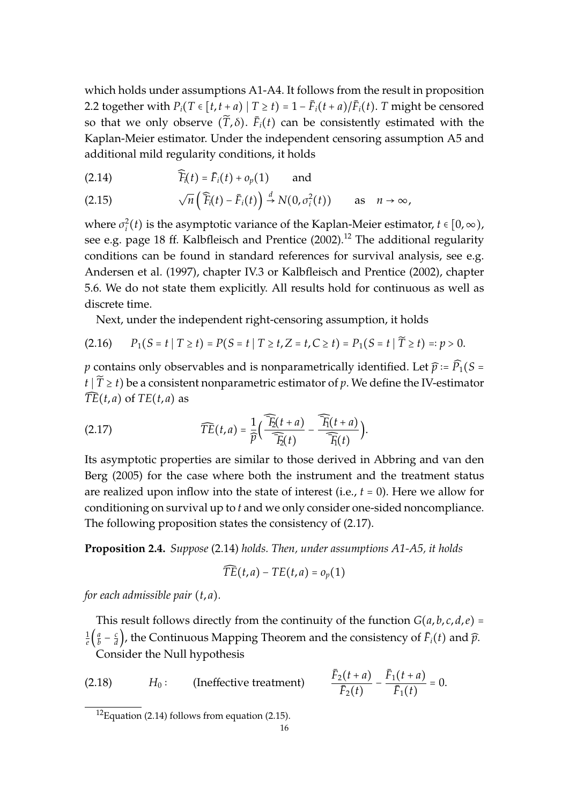which holds under assumptions A1-A4. It follows from the result in proposition 2.2 together with  $P_i(T \in [t, t + a) | T \ge t) = 1 - \bar{F}_i(t + a) / \bar{F}_i(t)$ . *T* might be censored so that we only observe  $(\widetilde{T}, \delta)$ .  $\bar{F}_i(t)$  can be consistently estimated with the Kaplan-Meier estimator. Under the independent censoring assumption A5 and additional mild regularity conditions, it holds

(2.14)  $\widehat{F}_i(t) = \bar{F}_i(t) + o_p(1)$  and

(2.15) 
$$
\sqrt{n}\left(\widehat{F}_i(t)-\bar{F}_i(t)\right)\stackrel{d}{\rightarrow}N(0,\sigma_i^2(t)) \text{ as } n\to\infty,
$$

where  $\sigma_i^2(t)$  is the asymptotic variance of the Kaplan-Meier estimator,  $t \in [0, \infty)$ , see e.g. page 18 ff. Kalbfleisch and Prentice  $(2002).$ <sup>12</sup> The additional regularity conditions can be found in standard references for survival analysis, see e.g. Andersen et al. (1997), chapter IV.3 or Kalbfleisch and Prentice (2002), chapter 5.6. We do not state them explicitly. All results hold for continuous as well as discrete time.

Next, under the independent right-censoring assumption, it holds

$$
(2.16) \qquad P_1(S = t \mid T \ge t) = P(S = t \mid T \ge t, Z = t, C \ge t) = P_1(S = t \mid \widetilde{T} \ge t) =: p > 0.
$$

*p* contains only observables and is nonparametrically identified. Let  $\hat{p} = \hat{P}_1(S =$  $t | \tilde{T} \geq t$ ) be a consistent nonparametric estimator of *p*. We define the IV-estimator  $\overline{TE}(t, a)$  of  $\overline{TE}(t, a)$  as

(2.17) 
$$
\widehat{TE}(t,a) = \frac{1}{\widehat{p}} \Big( \frac{\widehat{F}_2(t+a)}{\widehat{F}_2(t)} - \frac{\widehat{F}_1(t+a)}{\widehat{F}_1(t)} \Big).
$$

Its asymptotic properties are similar to those derived in Abbring and van den Berg (2005) for the case where both the instrument and the treatment status are realized upon inflow into the state of interest (i.e., *t* = 0). Here we allow for conditioning on survival up to *t* and we only consider one-sided noncompliance. The following proposition states the consistency of (2.17).

**Proposition 2.4.** *Suppose* (2.14) *holds. Then, under assumptions A1-A5, it holds*

$$
\widehat{TE}(t,a)-TE(t,a)=o_p(1)
$$

*for each admissible pair* (*t*, *a*)*.*

This result follows directly from the continuity of the function  $G(a, b, c, d, e)$  = 1  $\frac{1}{e}$  $\left(\frac{a}{b}\right)$  $\frac{a}{b} - \frac{c}{d}$  $\frac{d}{dt}$ ), the Continuous Mapping Theorem and the consistency of  $\bar{F}_i(t)$  and  $\widehat{p}_i$ . Consider the Null hypothesis

(2.18) 
$$
H_0: \qquad \text{(Ineffective treatment)} \qquad \frac{\bar{F}_2(t+a)}{\bar{F}_2(t)} - \frac{\bar{F}_1(t+a)}{\bar{F}_1(t)} = 0.
$$

 $12$ Equation (2.14) follows from equation (2.15).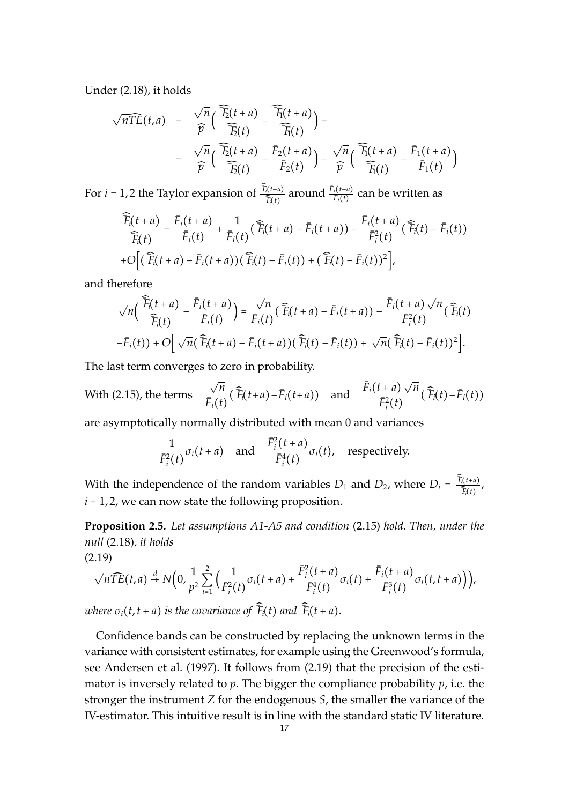Under (2.18), it holds

$$
\sqrt{n}\widehat{TE}(t,a) = \frac{\sqrt{n}}{\widehat{p}}\Big(\frac{\widehat{F}_2(t+a)}{\widehat{F}_2(t)} - \frac{\widehat{F}_1(t+a)}{\widehat{F}_1(t)}\Big) =
$$
  

$$
= \frac{\sqrt{n}}{\widehat{p}}\Big(\frac{\widehat{F}_2(t+a)}{\widehat{F}_2(t)} - \frac{\overline{F}_2(t+a)}{\overline{F}_2(t)}\Big) - \frac{\sqrt{n}}{\widehat{p}}\Big(\frac{\widehat{F}_1(t+a)}{\widehat{F}_1(t)} - \frac{\overline{F}_1(t+a)}{\overline{F}_1(t)}\Big)
$$

For *i* = 1, 2 the Taylor expansion of  $\frac{\widehat{F}_{f}(t+a)}{\widehat{T}_{f}(t)}$  $\frac{\bar{F}_i(t+a)}{\bar{F}_i(t)}$  around  $\frac{\bar{F}_i(t+a)}{\bar{F}_i(t)}$  $\frac{i^{(t+u)}}{F_i(t)}$  can be written as

$$
\frac{\widehat{F}_i(t+a)}{\widehat{F}_i(t)} = \frac{\overline{F}_i(t+a)}{\overline{F}_i(t)} + \frac{1}{\overline{F}_i(t)} (\widehat{F}_i(t+a) - \overline{F}_i(t+a)) - \frac{\overline{F}_i(t+a)}{\overline{F}_i^2(t)} (\widehat{F}_i(t) - \overline{F}_i(t)) \n+ O\Big[ (\widehat{F}_i(t+a) - \overline{F}_i(t+a)) (\widehat{F}_i(t) - \overline{F}_i(t)) + (\widehat{F}_i(t) - \overline{F}_i(t))^2 \Big],
$$

and therefore

$$
\sqrt{n}\Big(\frac{\widehat{\overline{F}}_i(t+a)}{\widehat{\overline{F}}_i(t)}-\frac{\overline{F}_i(t+a)}{\overline{F}_i(t)}\Big)=\frac{\sqrt{n}}{\overline{F}_i(t)}\Big(\widehat{\overline{F}}_i(t+a)-\overline{F}_i(t+a)\Big)-\frac{\overline{F}_i(t+a)\sqrt{n}}{\overline{F}_i^2(t)}\Big(\widehat{\overline{F}}_i(t)-\overline{F}_i(t)\Big)-\frac{\overline{F}_i(t+a)\sqrt{n}}{\overline{F}_i^2(t)}\Big(\widehat{\overline{F}}_i(t)-\overline{F}_i(t)\Big)+\sqrt{n}\Big(\widehat{\overline{F}}_i(t)-\overline{F}_i(t)\Big)^2\Big].
$$

The last term converges to zero in probability.

With (2.15), the terms √ *n*  $\bar{F}_i(t)$  $(\widehat{F}_i(t+a) - \bar{F}_i(t+a))$  and  $\frac{\bar{F}_i(t+a)}{\bar{F}_i(t+a)}$ √ *n*  $\bar{F}^2_i(t)$  $(\widehat{F}_i(t) - \bar{F}_i(t))$ 

are asymptotically normally distributed with mean 0 and variances

$$
\frac{1}{\bar{F}_{i}^{2}(t)}\sigma_{i}(t+a) \quad \text{and} \quad \frac{\bar{F}_{i}^{2}(t+a)}{\bar{F}_{i}^{4}(t)}\sigma_{i}(t), \quad \text{respectively.}
$$

With the independence of the random variables  $D_1$  and  $D_2$ , where  $D_i = \frac{\widehat{F}_i(t+a)}{\widehat{F}_i(t+a)}$  $\frac{\widehat{i}(t+u)}{\widehat{F}_i(t)}$  $i = 1, 2$ , we can now state the following proposition.

**Proposition 2.5.** *Let assumptions A1-A5 and condition* (2.15) *hold. Then, under the null* (2.18)*, it holds*

(2.19)

$$
\sqrt{n}\widehat{TE}(t,a)\stackrel{d}{\rightarrow}N\Big(0,\frac{1}{p^2}\sum_{i=1}^2\Big(\frac{1}{\bar{F}_i^2(t)}\sigma_i(t+a)+\frac{\bar{F}_i^2(t+a)}{\bar{F}_i^4(t)}\sigma_i(t)+\frac{\bar{F}_i(t+a)}{\bar{F}_i^3(t)}\sigma_i(t,t+a)\Big)\Big),
$$

*where*  $\sigma_i(t, t + a)$  *is the covariance of*  $\widehat{F}_i(t)$  *and*  $\widehat{F}_i(t + a)$ *.* 

Confidence bands can be constructed by replacing the unknown terms in the variance with consistent estimates, for example using the Greenwood's formula, see Andersen et al. (1997). It follows from (2.19) that the precision of the estimator is inversely related to *p*. The bigger the compliance probability *p*, i.e. the stronger the instrument *Z* for the endogenous *S*, the smaller the variance of the IV-estimator. This intuitive result is in line with the standard static IV literature.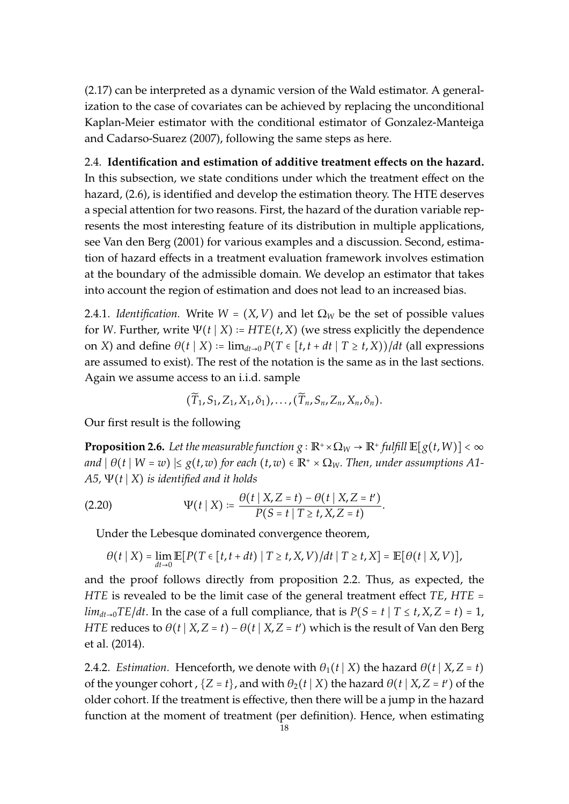(2.17) can be interpreted as a dynamic version of the Wald estimator. A generalization to the case of covariates can be achieved by replacing the unconditional Kaplan-Meier estimator with the conditional estimator of Gonzalez-Manteiga and Cadarso-Suarez (2007), following the same steps as here.

2.4. **Identification and estimation of additive treatment e**ff**ects on the hazard.** In this subsection, we state conditions under which the treatment effect on the hazard, (2.6), is identified and develop the estimation theory. The HTE deserves a special attention for two reasons. First, the hazard of the duration variable represents the most interesting feature of its distribution in multiple applications, see Van den Berg (2001) for various examples and a discussion. Second, estimation of hazard effects in a treatment evaluation framework involves estimation at the boundary of the admissible domain. We develop an estimator that takes into account the region of estimation and does not lead to an increased bias.

2.4.1. *Identification*. Write  $W = (X, V)$  and let  $\Omega_W$  be the set of possible values for *W*. Further, write  $\Psi(t | X) = HTE(t, X)$  (we stress explicitly the dependence on *X*) and define  $\theta(t | X) := \lim_{dt \to 0} P(T \in [t, t + dt | T \ge t, X) / dt$  (all expressions are assumed to exist). The rest of the notation is the same as in the last sections. Again we assume access to an i.i.d. sample

$$
(\widetilde{T}_1,S_1,Z_1,X_1,\delta_1),\ldots,(\widetilde{T}_n,S_n,Z_n,X_n,\delta_n).
$$

Our first result is the following

**Proposition 2.6.** Let the measurable function  $g : \mathbb{R}^+ \times \Omega_W \to \mathbb{R}^+$  fulfill  $\mathbb{E}[g(t, W)] < \infty$ *and*  $| \theta(t | W = w) | \leq g(t, w)$  *for each*  $(t, w) \in \mathbb{R}^+ \times \Omega_W$ *. Then, under assumptions A1*-*A5,* Ψ(*t* ∣ *X*) *is identified and it holds*

(2.20) 
$$
\Psi(t \mid X) := \frac{\theta(t \mid X, Z = t) - \theta(t \mid X, Z = t')}{P(S = t \mid T \ge t, X, Z = t)}.
$$

Under the Lebesque dominated convergence theorem,

$$
\theta(t | X) = \lim_{dt\to 0} \mathbb{E}[P(T \in [t, t+dt) | T \ge t, X, V)/dt | T \ge t, X] = \mathbb{E}[\theta(t | X, V)],
$$

and the proof follows directly from proposition 2.2. Thus, as expected, the *HTE* is revealed to be the limit case of the general treatment effect *TE*, *HTE* = *lim*<sub>dt→0</sub>*TE*/*dt*. In the case of a full compliance, that is  $P(S = t | T \le t, X, Z = t) = 1$ , *HTE* reduces to  $\theta(t | X, Z = t) - \theta(t | X, Z = t')$  which is the result of Van den Berg et al. (2014).

2.4.2. *Estimation.* Henceforth, we denote with  $\theta_1(t | X)$  the hazard  $\theta(t | X, Z = t)$ of the younger cohort ,  $\{Z = t\}$ , and with  $\theta_2(t | X)$  the hazard  $\theta(t | X, Z = t')$  of the older cohort. If the treatment is effective, then there will be a jump in the hazard function at the moment of treatment (per definition). Hence, when estimating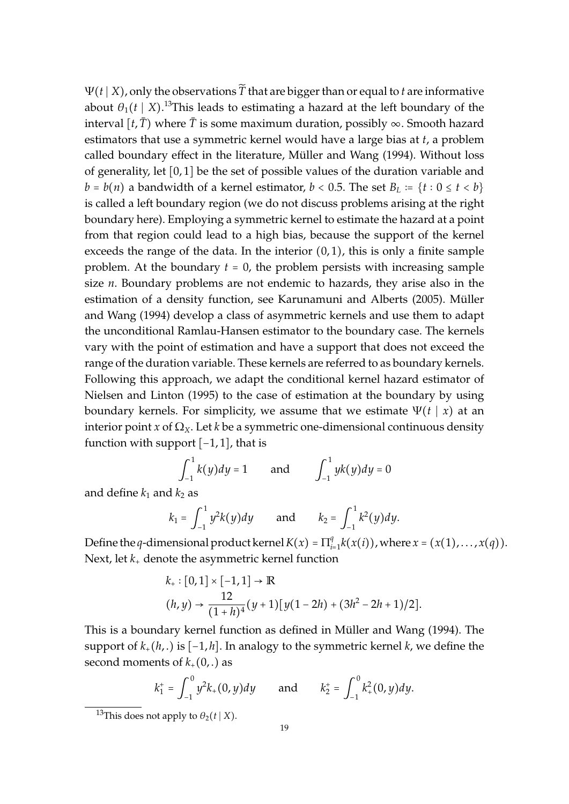$\Psi(t | X)$ , only the observations  $\widetilde{T}$  that are bigger than or equal to *t* are informative about  $\theta_1(t\mid X)$ .<sup>13</sup>This leads to estimating a hazard at the left boundary of the interval  $[t, \overline{T})$  where  $\overline{T}$  is some maximum duration, possibly  $\infty$ . Smooth hazard estimators that use a symmetric kernel would have a large bias at *t*, a problem called boundary effect in the literature, Müller and Wang (1994). Without loss of generality, let [0, 1] be the set of possible values of the duration variable and *b* = *b*(*n*) a bandwidth of a kernel estimator, *b* < 0.5. The set *B*<sub>*L*</sub> := {*t* : 0 ≤ *t* < *b*} is called a left boundary region (we do not discuss problems arising at the right boundary here). Employing a symmetric kernel to estimate the hazard at a point from that region could lead to a high bias, because the support of the kernel exceeds the range of the data. In the interior  $(0, 1)$ , this is only a finite sample problem. At the boundary  $t = 0$ , the problem persists with increasing sample size *n*. Boundary problems are not endemic to hazards, they arise also in the estimation of a density function, see Karunamuni and Alberts (2005). Müller and Wang (1994) develop a class of asymmetric kernels and use them to adapt the unconditional Ramlau-Hansen estimator to the boundary case. The kernels vary with the point of estimation and have a support that does not exceed the range of the duration variable. These kernels are referred to as boundary kernels. Following this approach, we adapt the conditional kernel hazard estimator of Nielsen and Linton (1995) to the case of estimation at the boundary by using boundary kernels. For simplicity, we assume that we estimate  $\Psi(t | x)$  at an interior point *x* of  $\Omega_X$ . Let *k* be a symmetric one-dimensional continuous density function with support  $[-1, 1]$ , that is

$$
\int_{-1}^{1} k(y) dy = 1
$$
 and  $\int_{-1}^{1} yk(y) dy = 0$ 

and define  $k_1$  and  $k_2$  as

$$
k_1 = \int_{-1}^1 y^2 k(y) dy
$$
 and  $k_2 = \int_{-1}^1 k^2(y) dy$ .

Define the *q*-dimensional product kernel  $K(x) = \prod_{i=1}^{q}$  $x_{i=1}^{q} k(x(i))$ , where  $x = (x(1), \ldots, x(q))$ . Next, let *k*<sup>+</sup> denote the asymmetric kernel function

$$
k_{+}: [0,1] \times [-1,1] \to \mathbb{R}
$$
  
(h, y)  $\to \frac{12}{(1+h)^{4}}(y+1)[y(1-2h) + (3h^{2} - 2h + 1)/2].$ 

This is a boundary kernel function as defined in Müller and Wang (1994). The support of *k*+(*h*, .) is [−1, *h*]. In analogy to the symmetric kernel *k*, we define the second moments of  $k_{+}(0,.)$  as

$$
k_1^+ = \int_{-1}^0 y^2 k_+(0, y) dy
$$
 and  $k_2^+ = \int_{-1}^0 k_+^2 (0, y) dy$ .

<sup>&</sup>lt;sup>13</sup>This does not apply to  $\theta_2(t | X)$ .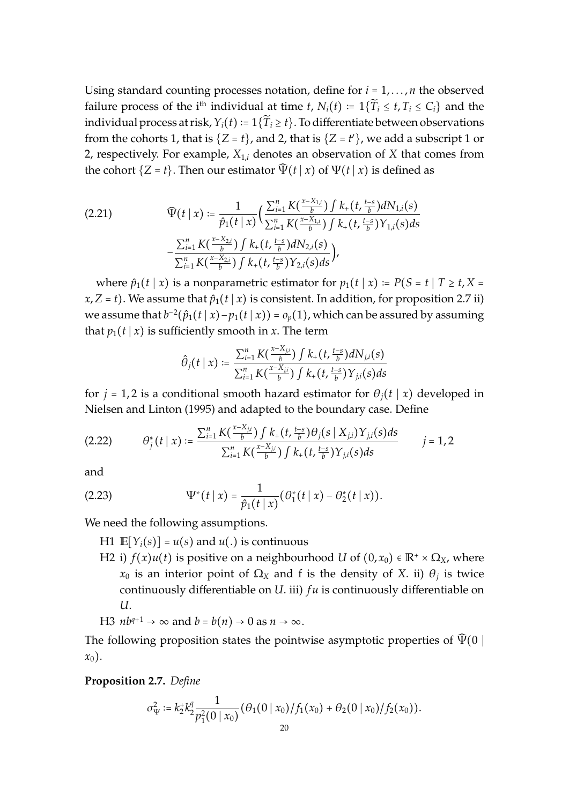Using standard counting processes notation, define for  $i = 1, \ldots, n$  the observed failure process of the i<sup>th</sup> individual at time *t*,  $N_i(t) := 1\{\widetilde{T}_i \le t, T_i \le C_i\}$  and the individual process at risk,  $Y_i(t) := 1\{\widetilde{T}_i \ge t\}$ . To differentiate between observations from the cohorts 1, that is  $\{Z = t\}$ , and 2, that is  $\{Z = t'\}$ , we add a subscript 1 or 2, respectively. For example,  $X_{1,i}$  denotes an observation of  $X$  that comes from the cohort  $\{Z = t\}$ . Then our estimator  $\widehat{\Psi}(t | x)$  of  $\Psi(t | x)$  is defined as

$$
(2.21) \qquad \widehat{\Psi}(t \mid x) \coloneqq \frac{1}{\widehat{p}_1(t \mid x)} \Big( \frac{\sum_{i=1}^n K\left(\frac{x - X_{1,i}}{b}\right) \int k_+(t, \frac{t-s}{b}) dN_{1,i}(s)}{\sum_{i=1}^n K\left(\frac{x - X_{1,i}}{b}\right) \int k_+(t, \frac{t-s}{b}) Y_{1,i}(s) ds} - \frac{\sum_{i=1}^n K\left(\frac{x - X_{2,i}}{b}\right) \int k_+(t, \frac{t-s}{b}) dN_{2,i}(s)}{\sum_{i=1}^n K\left(\frac{x - X_{2,i}}{b}\right) \int k_+(t, \frac{t-s}{b}) Y_{2,i}(s) ds} \Big),
$$

where  $\hat{p}_1(t | x)$  is a nonparametric estimator for  $p_1(t | x) = P(S = t | T \ge t, X =$ *x*,*Z* = *t*). We assume that  $\hat{p}_1(t | x)$  is consistent. In addition, for proposition 2.7 ii) we assume that  $b^{-2}(\hat{p}_1(t | x) - p_1(t | x)) = o_p(1)$ , which can be assured by assuming that  $p_1(t | x)$  is sufficiently smooth in *x*. The term

$$
\hat{\theta}_j(t \mid x) \coloneqq \frac{\sum_{i=1}^n K(\frac{x - X_{j,i}}{b}) \int k_+(t, \frac{t-s}{b}) dN_{j,i}(s)}{\sum_{i=1}^n K(\frac{x - X_{j,i}}{b}) \int k_+(t, \frac{t-s}{b}) Y_{j,i}(s) ds}
$$

for  $j = 1, 2$  is a conditional smooth hazard estimator for  $\theta_j(t | x)$  developed in Nielsen and Linton (1995) and adapted to the boundary case. Define

$$
(2.22) \t\t \theta_j^*(t \mid x) := \frac{\sum_{i=1}^n K(\frac{x-X_{ji}}{b}) \int k_+(t, \frac{t-s}{b}) \theta_j(s \mid X_{j,i}) Y_{j,i}(s) ds}{\sum_{i=1}^n K(\frac{x-X_{ji}}{b}) \int k_+(t, \frac{t-s}{b}) Y_{j,i}(s) ds} \t j = 1, 2
$$

and

(2.23) 
$$
\Psi^*(t \mid x) = \frac{1}{\hat{p}_1(t \mid x)} (\theta_1^*(t \mid x) - \theta_2^*(t \mid x)).
$$

We need the following assumptions.

H1  $\mathbb{E}[Y_i(s)] = u(s)$  and  $u(.)$  is continuous

H2 i)  $f(x)u(t)$  is positive on a neighbourhood *U* of  $(0, x_0) \in \mathbb{R}^+ \times \Omega_X$ , where *x*<sup>0</sup> is an interior point of Ω*<sup>X</sup>* and f is the density of *X*. ii) θ*<sup>j</sup>* is twice continuously differentiable on *U*. iii) *f u* is continuously differentiable on *U*.

H3 
$$
nb^{q+1} \rightarrow \infty
$$
 and  $b = b(n) \rightarrow 0$  as  $n \rightarrow \infty$ .

The following proposition states the pointwise asymptotic properties of  $\Psi(0 \mid$ *x*0).

**Proposition 2.7.** *Define*

$$
\sigma_{\Psi}^2 := k_2^{\ast} k_2^q \frac{1}{p_1^2(0 \mid x_0)} (\theta_1(0 \mid x_0)/f_1(x_0) + \theta_2(0 \mid x_0)/f_2(x_0)).
$$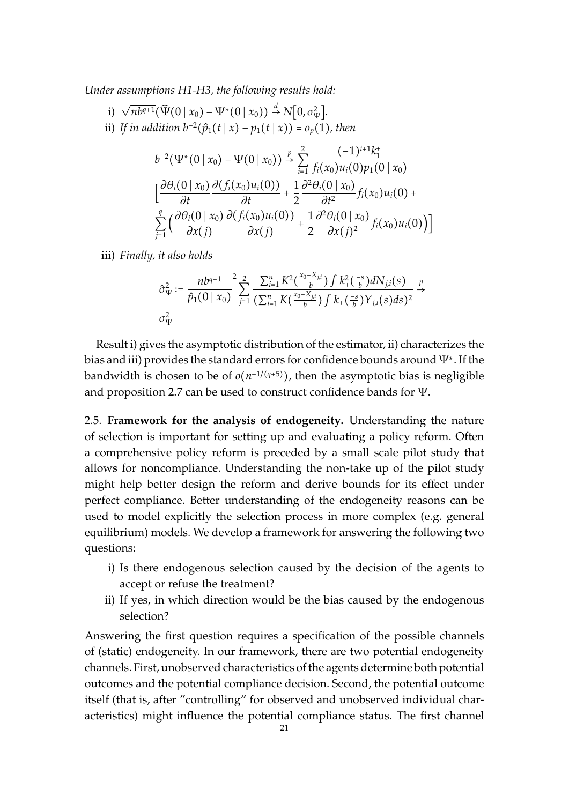*Under assumptions H1-H3, the following results hold:*

i)  $\sqrt{nb^{q+1}}(\widehat{\Psi}(0 | x_0) - \Psi^*(0 | x_0)) \stackrel{d}{\rightarrow} N[0, \sigma_{\Psi}^2].$ ii) *If in addition b<sup>−2</sup>(* $\hat{p}_1(t | x) - p_1(t | x)$ *) =*  $o_p(1)$ *, then* 

$$
b^{-2}(\Psi^*(0 \mid x_0) - \Psi(0 \mid x_0)) \stackrel{p}{\rightarrow} \sum_{i=1}^2 \frac{(-1)^{i+1}k_1^+}{f_i(x_0)u_i(0)p_1(0 \mid x_0)}
$$
  

$$
\left[\frac{\partial \theta_i(0 \mid x_0)}{\partial t} \frac{\partial (f_i(x_0)u_i(0))}{\partial t} + \frac{1}{2} \frac{\partial^2 \theta_i(0 \mid x_0)}{\partial t^2} f_i(x_0)u_i(0) + \sum_{j=1}^q \left(\frac{\partial \theta_i(0 \mid x_0)}{\partial x(j)} \frac{\partial (f_i(x_0)u_i(0))}{\partial x(j)} + \frac{1}{2} \frac{\partial^2 \theta_i(0 \mid x_0)}{\partial x(j)^2} f_i(x_0)u_i(0)\right)\right]
$$

iii) *Finally, it also holds*

$$
\hat{\sigma}_{\Psi}^2 := \frac{nb^{q+1}}{\hat{p}_1(0 \mid x_0)} \sum_{j=1}^2 \frac{\sum_{i=1}^n K^2(\frac{x_0 - X_{j,i}}{b}) \int k_+^2(\frac{-s}{b}) dN_{j,i}(s)}{(\sum_{i=1}^n K(\frac{x_0 - X_{j,i}}{b}) \int k_+(\frac{-s}{b}) Y_{j,i}(s) ds)^2} \xrightarrow{p}
$$
  

$$
\sigma_{\Psi}^2
$$

Result i) gives the asymptotic distribution of the estimator, ii) characterizes the bias and iii) provides the standard errors for confidence bounds around  $\Psi^*.$  If the bandwidth is chosen to be of *o*(n<sup>−1/(q+5)</sup>), then the asymptotic bias is negligible and proposition 2.7 can be used to construct confidence bands for Ψ.

2.5. **Framework for the analysis of endogeneity.** Understanding the nature of selection is important for setting up and evaluating a policy reform. Often a comprehensive policy reform is preceded by a small scale pilot study that allows for noncompliance. Understanding the non-take up of the pilot study might help better design the reform and derive bounds for its effect under perfect compliance. Better understanding of the endogeneity reasons can be used to model explicitly the selection process in more complex (e.g. general equilibrium) models. We develop a framework for answering the following two questions:

- i) Is there endogenous selection caused by the decision of the agents to accept or refuse the treatment?
- ii) If yes, in which direction would be the bias caused by the endogenous selection?

Answering the first question requires a specification of the possible channels of (static) endogeneity. In our framework, there are two potential endogeneity channels. First, unobserved characteristics of the agents determine both potential outcomes and the potential compliance decision. Second, the potential outcome itself (that is, after "controlling" for observed and unobserved individual characteristics) might influence the potential compliance status. The first channel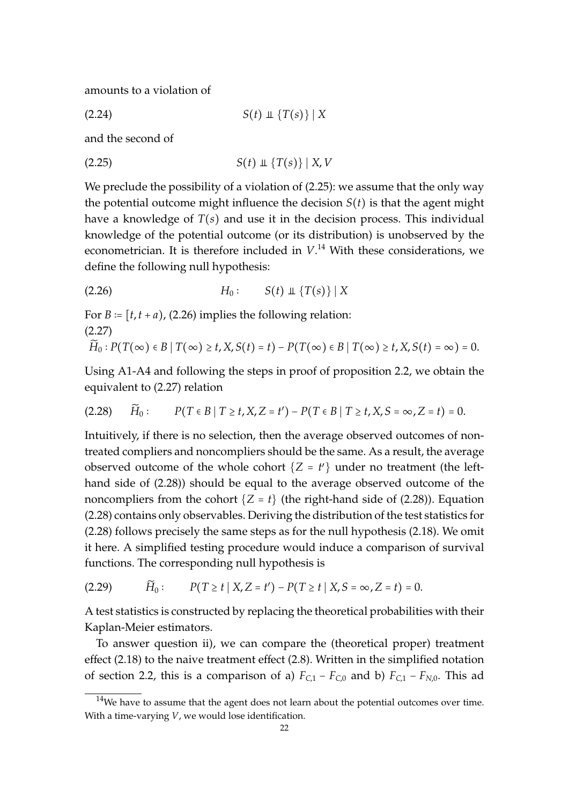amounts to a violation of

 $S(t) \perp \{T(s)\} | X$ 

and the second of

$$
(2.25) \tS(t) \perp \{T(s)\} | X, V
$$

We preclude the possibility of a violation of  $(2.25)$ : we assume that the only way the potential outcome might influence the decision  $S(t)$  is that the agent might have a knowledge of *T*(*s*) and use it in the decision process. This individual knowledge of the potential outcome (or its distribution) is unobserved by the econometrician. It is therefore included in  $V<sup>14</sup>$  With these considerations, we define the following null hypothesis:

$$
(2.26) \t\t\t H_0: \tS(t) \perp \{T(s)\} | X
$$

For  $B = [t, t + a)$ , (2.26) implies the following relation: (2.27)

$$
\widetilde{H}_0: P(T(\infty) \in B \mid T(\infty) \geq t, X, S(t) = t) - P(T(\infty) \in B \mid T(\infty) \geq t, X, S(t) = \infty) = 0.
$$

Using A1-A4 and following the steps in proof of proposition 2.2, we obtain the equivalent to (2.27) relation

$$
(2.28) \qquad \widetilde{H}_0: \qquad P(T \in B \mid T \ge t, X, Z = t') - P(T \in B \mid T \ge t, X, S = \infty, Z = t) = 0.
$$

Intuitively, if there is no selection, then the average observed outcomes of nontreated compliers and noncompliers should be the same. As a result, the average observed outcome of the whole cohort  $\{Z = t'\}$  under no treatment (the lefthand side of (2.28)) should be equal to the average observed outcome of the noncompliers from the cohort  $\{Z = t\}$  (the right-hand side of (2.28)). Equation (2.28) contains only observables. Deriving the distribution of the test statistics for (2.28) follows precisely the same steps as for the null hypothesis (2.18). We omit it here. A simplified testing procedure would induce a comparison of survival functions. The corresponding null hypothesis is

(2.29) *H*̃<sup>0</sup> ∶ *P*(*T* ≥ *t* ∣ *X*,*Z* = *t* ′ ) − *P*(*T* ≥ *t* ∣ *X*, *S* = ∞,*Z* = *t*) = 0.

A test statistics is constructed by replacing the theoretical probabilities with their Kaplan-Meier estimators.

To answer question ii), we can compare the (theoretical proper) treatment effect (2.18) to the naive treatment effect (2.8). Written in the simplified notation of section 2.2, this is a comparison of a)  $F_{C,1} - F_{C,0}$  and b)  $F_{C,1} - F_{N,0}$ . This ad

 $14$ We have to assume that the agent does not learn about the potential outcomes over time. With a time-varying *V*, we would lose identification.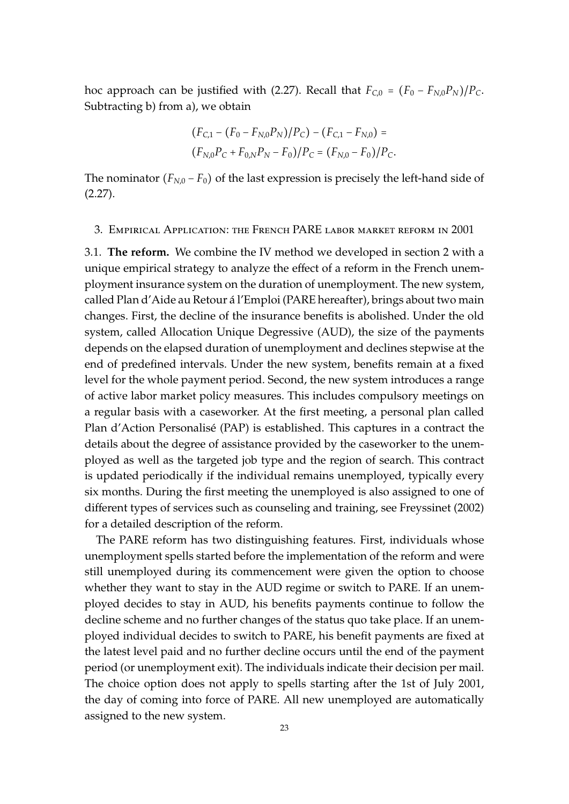hoc approach can be justified with (2.27). Recall that  $F_{C,0} = (F_0 - F_{N,0}P_N)/P_C$ . Subtracting b) from a), we obtain

$$
(F_{C,1} - (F_0 - F_{N,0}P_N)/P_C) - (F_{C,1} - F_{N,0}) =
$$
  

$$
(F_{N,0}P_C + F_{0,N}P_N - F_0)/P_C = (F_{N,0} - F_0)/P_C.
$$

The nominator  $(F_{N,0} - F_0)$  of the last expression is precisely the left-hand side of (2.27).

3. Empirical Application: the French PARE labor market reform in 2001

3.1. **The reform.** We combine the IV method we developed in section 2 with a unique empirical strategy to analyze the effect of a reform in the French unemployment insurance system on the duration of unemployment. The new system, called Plan d'Aide au Retour a l'Emploi (PARE hereafter), brings about two main ´ changes. First, the decline of the insurance benefits is abolished. Under the old system, called Allocation Unique Degressive (AUD), the size of the payments depends on the elapsed duration of unemployment and declines stepwise at the end of predefined intervals. Under the new system, benefits remain at a fixed level for the whole payment period. Second, the new system introduces a range of active labor market policy measures. This includes compulsory meetings on a regular basis with a caseworker. At the first meeting, a personal plan called Plan d'Action Personalisé (PAP) is established. This captures in a contract the details about the degree of assistance provided by the caseworker to the unemployed as well as the targeted job type and the region of search. This contract is updated periodically if the individual remains unemployed, typically every six months. During the first meeting the unemployed is also assigned to one of different types of services such as counseling and training, see Freyssinet (2002) for a detailed description of the reform.

The PARE reform has two distinguishing features. First, individuals whose unemployment spells started before the implementation of the reform and were still unemployed during its commencement were given the option to choose whether they want to stay in the AUD regime or switch to PARE. If an unemployed decides to stay in AUD, his benefits payments continue to follow the decline scheme and no further changes of the status quo take place. If an unemployed individual decides to switch to PARE, his benefit payments are fixed at the latest level paid and no further decline occurs until the end of the payment period (or unemployment exit). The individuals indicate their decision per mail. The choice option does not apply to spells starting after the 1st of July 2001, the day of coming into force of PARE. All new unemployed are automatically assigned to the new system.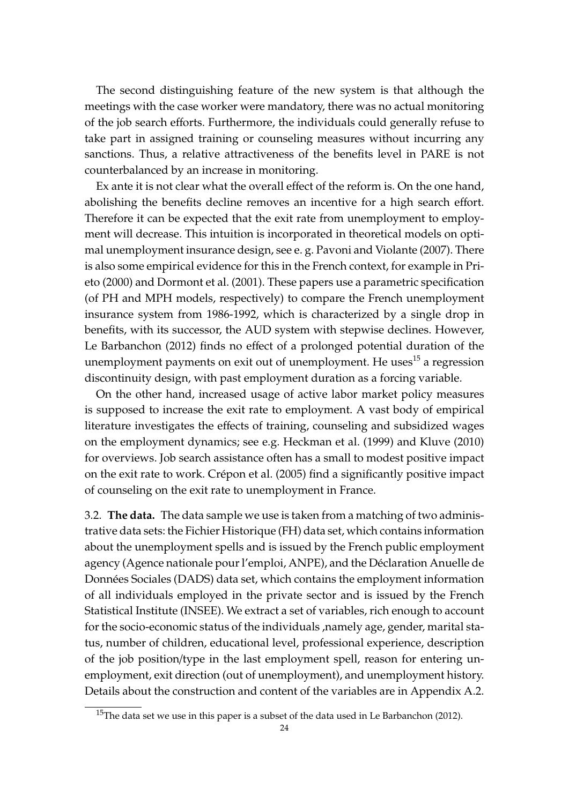The second distinguishing feature of the new system is that although the meetings with the case worker were mandatory, there was no actual monitoring of the job search efforts. Furthermore, the individuals could generally refuse to take part in assigned training or counseling measures without incurring any sanctions. Thus, a relative attractiveness of the benefits level in PARE is not counterbalanced by an increase in monitoring.

Ex ante it is not clear what the overall effect of the reform is. On the one hand, abolishing the benefits decline removes an incentive for a high search effort. Therefore it can be expected that the exit rate from unemployment to employment will decrease. This intuition is incorporated in theoretical models on optimal unemployment insurance design, see e. g. Pavoni and Violante (2007). There is also some empirical evidence for this in the French context, for example in Prieto (2000) and Dormont et al. (2001). These papers use a parametric specification (of PH and MPH models, respectively) to compare the French unemployment insurance system from 1986-1992, which is characterized by a single drop in benefits, with its successor, the AUD system with stepwise declines. However, Le Barbanchon (2012) finds no effect of a prolonged potential duration of the unemployment payments on exit out of unemployment. He uses<sup>15</sup> a regression discontinuity design, with past employment duration as a forcing variable.

On the other hand, increased usage of active labor market policy measures is supposed to increase the exit rate to employment. A vast body of empirical literature investigates the effects of training, counseling and subsidized wages on the employment dynamics; see e.g. Heckman et al. (1999) and Kluve (2010) for overviews. Job search assistance often has a small to modest positive impact on the exit rate to work. Crépon et al. (2005) find a significantly positive impact of counseling on the exit rate to unemployment in France.

3.2. **The data.** The data sample we use is taken from a matching of two administrative data sets: the Fichier Historique (FH) data set, which contains information about the unemployment spells and is issued by the French public employment agency (Agence nationale pour l'emploi, ANPE), and the Déclaration Anuelle de Données Sociales (DADS) data set, which contains the employment information of all individuals employed in the private sector and is issued by the French Statistical Institute (INSEE). We extract a set of variables, rich enough to account for the socio-economic status of the individuals ,namely age, gender, marital status, number of children, educational level, professional experience, description of the job position/type in the last employment spell, reason for entering unemployment, exit direction (out of unemployment), and unemployment history. Details about the construction and content of the variables are in Appendix A.2.

<sup>&</sup>lt;sup>15</sup>The data set we use in this paper is a subset of the data used in Le Barbanchon (2012).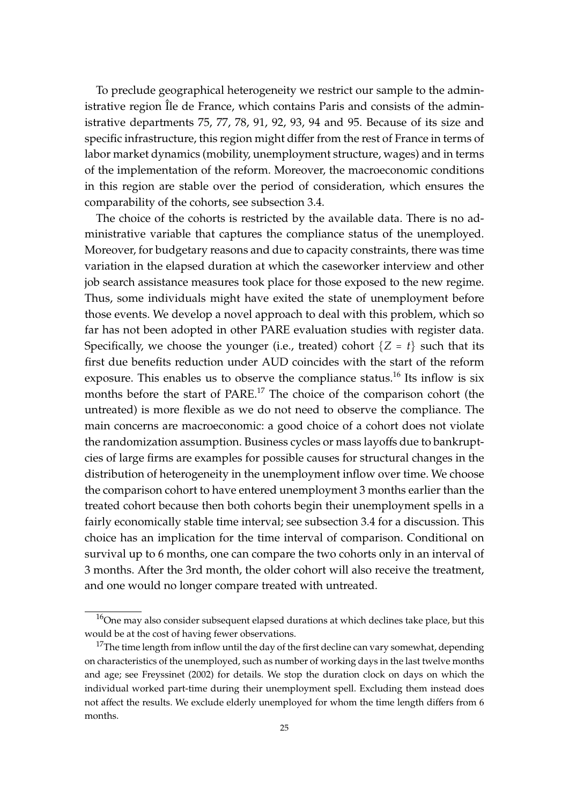To preclude geographical heterogeneity we restrict our sample to the administrative region Île de France, which contains Paris and consists of the administrative departments 75, 77, 78, 91, 92, 93, 94 and 95. Because of its size and specific infrastructure, this region might differ from the rest of France in terms of labor market dynamics (mobility, unemployment structure, wages) and in terms of the implementation of the reform. Moreover, the macroeconomic conditions in this region are stable over the period of consideration, which ensures the comparability of the cohorts, see subsection 3.4.

The choice of the cohorts is restricted by the available data. There is no administrative variable that captures the compliance status of the unemployed. Moreover, for budgetary reasons and due to capacity constraints, there was time variation in the elapsed duration at which the caseworker interview and other job search assistance measures took place for those exposed to the new regime. Thus, some individuals might have exited the state of unemployment before those events. We develop a novel approach to deal with this problem, which so far has not been adopted in other PARE evaluation studies with register data. Specifically, we choose the younger (i.e., treated) cohort  $\{Z = t\}$  such that its first due benefits reduction under AUD coincides with the start of the reform exposure. This enables us to observe the compliance status.<sup>16</sup> Its inflow is six months before the start of PARE.<sup>17</sup> The choice of the comparison cohort (the untreated) is more flexible as we do not need to observe the compliance. The main concerns are macroeconomic: a good choice of a cohort does not violate the randomization assumption. Business cycles or mass layoffs due to bankruptcies of large firms are examples for possible causes for structural changes in the distribution of heterogeneity in the unemployment inflow over time. We choose the comparison cohort to have entered unemployment 3 months earlier than the treated cohort because then both cohorts begin their unemployment spells in a fairly economically stable time interval; see subsection 3.4 for a discussion. This choice has an implication for the time interval of comparison. Conditional on survival up to 6 months, one can compare the two cohorts only in an interval of 3 months. After the 3rd month, the older cohort will also receive the treatment, and one would no longer compare treated with untreated.

 $16$ One may also consider subsequent elapsed durations at which declines take place, but this would be at the cost of having fewer observations.

<sup>&</sup>lt;sup>17</sup>The time length from inflow until the day of the first decline can vary somewhat, depending on characteristics of the unemployed, such as number of working days in the last twelve months and age; see Freyssinet (2002) for details. We stop the duration clock on days on which the individual worked part-time during their unemployment spell. Excluding them instead does not affect the results. We exclude elderly unemployed for whom the time length differs from 6 months.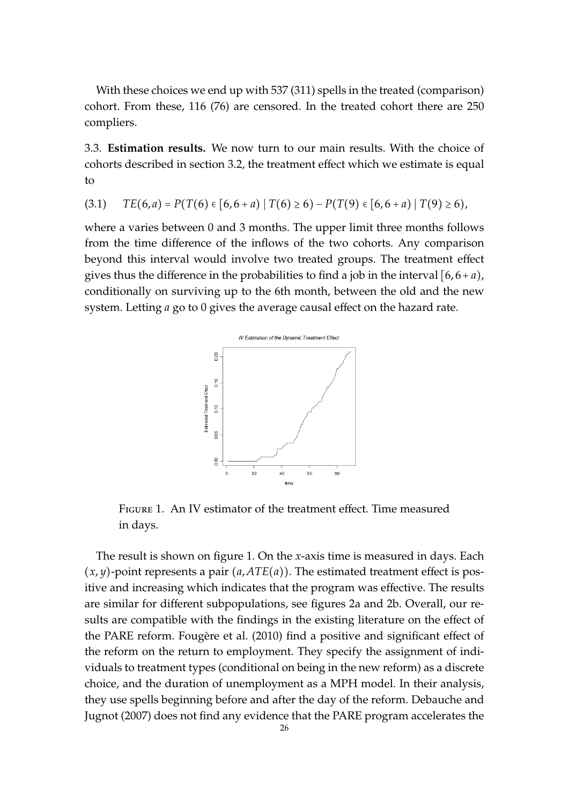With these choices we end up with 537 (311) spells in the treated (comparison) cohort. From these, 116 (76) are censored. In the treated cohort there are 250 compliers.

3.3. **Estimation results.** We now turn to our main results. With the choice of cohorts described in section 3.2, the treatment effect which we estimate is equal to

$$
(3.1) \tTE(6,a) = P(T(6) \in [6,6+a) | T(6) \ge 6) - P(T(9) \in [6,6+a) | T(9) \ge 6),
$$

where a varies between 0 and 3 months. The upper limit three months follows from the time difference of the inflows of the two cohorts. Any comparison beyond this interval would involve two treated groups. The treatment effect gives thus the difference in the probabilities to find a job in the interval  $[6, 6 + a)$ , conditionally on surviving up to the 6th month, between the old and the new system. Letting *a* go to 0 gives the average causal effect on the hazard rate.



Figure 1. An IV estimator of the treatment effect. Time measured in days.

The result is shown on figure 1. On the *x*-axis time is measured in days. Each  $(x, y)$ -point represents a pair  $(a, ATE(a))$ . The estimated treatment effect is positive and increasing which indicates that the program was effective. The results are similar for different subpopulations, see figures 2a and 2b. Overall, our results are compatible with the findings in the existing literature on the effect of the PARE reform. Fougere et al. (2010) find a positive and significant effect of the reform on the return to employment. They specify the assignment of individuals to treatment types (conditional on being in the new reform) as a discrete choice, and the duration of unemployment as a MPH model. In their analysis, they use spells beginning before and after the day of the reform. Debauche and Jugnot (2007) does not find any evidence that the PARE program accelerates the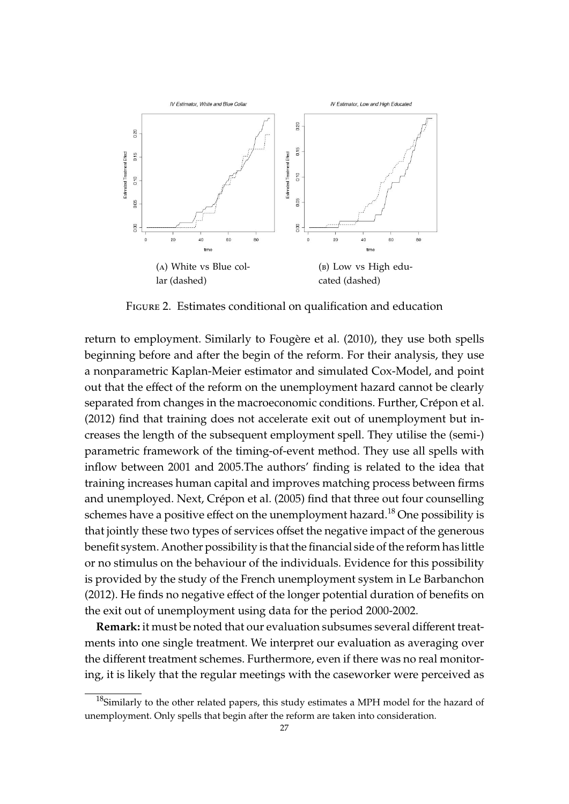

Figure 2. Estimates conditional on qualification and education

return to employment. Similarly to Fougère et al. (2010), they use both spells beginning before and after the begin of the reform. For their analysis, they use a nonparametric Kaplan-Meier estimator and simulated Cox-Model, and point out that the effect of the reform on the unemployment hazard cannot be clearly separated from changes in the macroeconomic conditions. Further, Crépon et al. (2012) find that training does not accelerate exit out of unemployment but increases the length of the subsequent employment spell. They utilise the (semi-) parametric framework of the timing-of-event method. They use all spells with inflow between 2001 and 2005.The authors' finding is related to the idea that training increases human capital and improves matching process between firms and unemployed. Next, Crépon et al. (2005) find that three out four counselling schemes have a positive effect on the unemployment hazard.<sup>18</sup> One possibility is that jointly these two types of services offset the negative impact of the generous benefit system. Another possibility is that the financial side of the reform has little or no stimulus on the behaviour of the individuals. Evidence for this possibility is provided by the study of the French unemployment system in Le Barbanchon (2012). He finds no negative effect of the longer potential duration of benefits on the exit out of unemployment using data for the period 2000-2002.

**Remark:** it must be noted that our evaluation subsumes several different treatments into one single treatment. We interpret our evaluation as averaging over the different treatment schemes. Furthermore, even if there was no real monitoring, it is likely that the regular meetings with the caseworker were perceived as

 $18$ Similarly to the other related papers, this study estimates a MPH model for the hazard of unemployment. Only spells that begin after the reform are taken into consideration.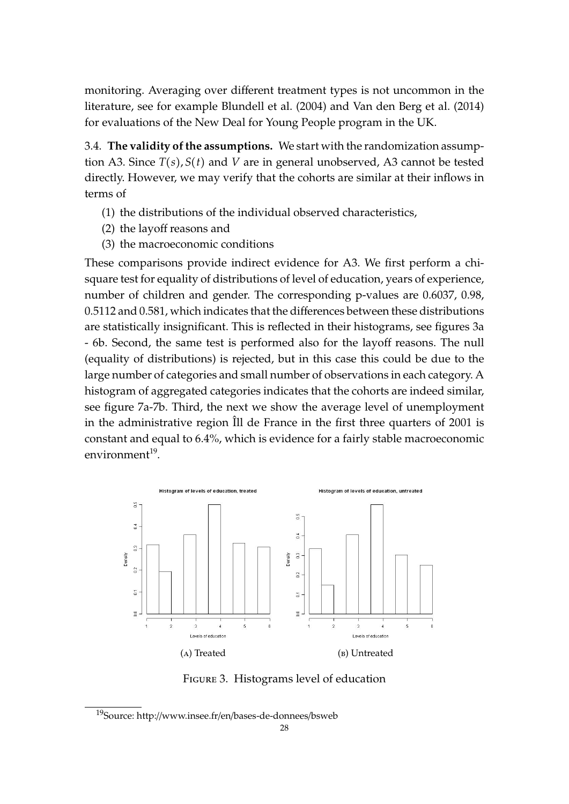monitoring. Averaging over different treatment types is not uncommon in the literature, see for example Blundell et al. (2004) and Van den Berg et al. (2014) for evaluations of the New Deal for Young People program in the UK.

3.4. **The validity of the assumptions.** We start with the randomization assumption A3. Since *T*(*s*), *S*(*t*) and *V* are in general unobserved, A3 cannot be tested directly. However, we may verify that the cohorts are similar at their inflows in terms of

- (1) the distributions of the individual observed characteristics,
- (2) the layoff reasons and
- (3) the macroeconomic conditions

These comparisons provide indirect evidence for A3. We first perform a chisquare test for equality of distributions of level of education, years of experience, number of children and gender. The corresponding p-values are 0.6037, 0.98, 0.5112 and 0.581, which indicates that the differences between these distributions are statistically insignificant. This is reflected in their histograms, see figures 3a - 6b. Second, the same test is performed also for the layoff reasons. The null (equality of distributions) is rejected, but in this case this could be due to the large number of categories and small number of observations in each category. A histogram of aggregated categories indicates that the cohorts are indeed similar, see figure 7a-7b. Third, the next we show the average level of unemployment in the administrative region  $\hat{I}$ ll de France in the first three quarters of 2001 is constant and equal to 6.4%, which is evidence for a fairly stable macroeconomic environment<sup>19</sup>.



Figure 3. Histograms level of education

<sup>19</sup>Source: http://www.insee.fr/en/bases-de-donnees/bsweb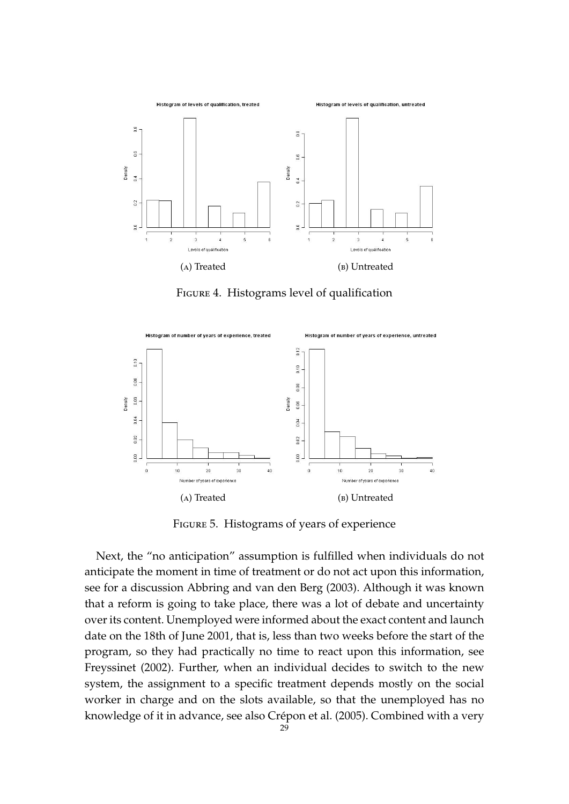

FIGURE 4. Histograms level of qualification



Figure 5. Histograms of years of experience

Next, the "no anticipation" assumption is fulfilled when individuals do not anticipate the moment in time of treatment or do not act upon this information, see for a discussion Abbring and van den Berg (2003). Although it was known that a reform is going to take place, there was a lot of debate and uncertainty over its content. Unemployed were informed about the exact content and launch date on the 18th of June 2001, that is, less than two weeks before the start of the program, so they had practically no time to react upon this information, see Freyssinet (2002). Further, when an individual decides to switch to the new system, the assignment to a specific treatment depends mostly on the social worker in charge and on the slots available, so that the unemployed has no knowledge of it in advance, see also Crépon et al. (2005). Combined with a very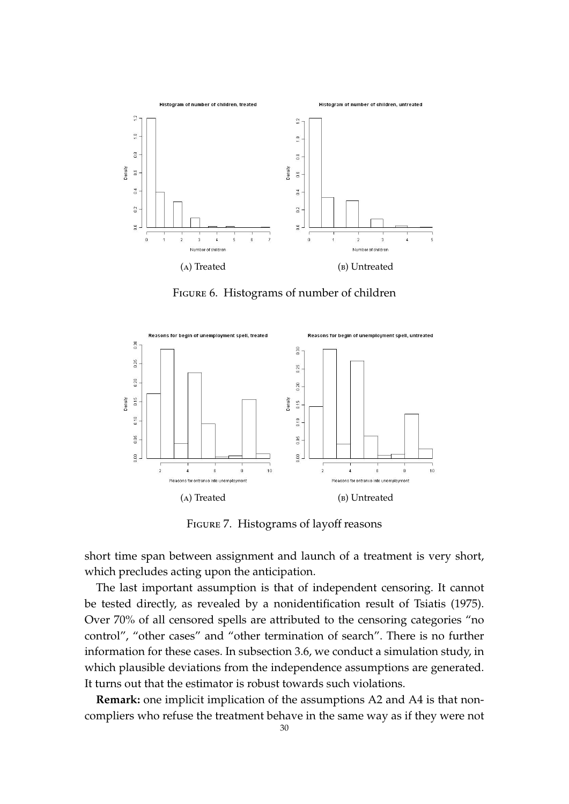

Figure 6. Histograms of number of children



Figure 7. Histograms of layoff reasons

short time span between assignment and launch of a treatment is very short, which precludes acting upon the anticipation.

The last important assumption is that of independent censoring. It cannot be tested directly, as revealed by a nonidentification result of Tsiatis (1975). Over 70% of all censored spells are attributed to the censoring categories "no control", "other cases" and "other termination of search". There is no further information for these cases. In subsection 3.6, we conduct a simulation study, in which plausible deviations from the independence assumptions are generated. It turns out that the estimator is robust towards such violations.

**Remark:** one implicit implication of the assumptions A2 and A4 is that noncompliers who refuse the treatment behave in the same way as if they were not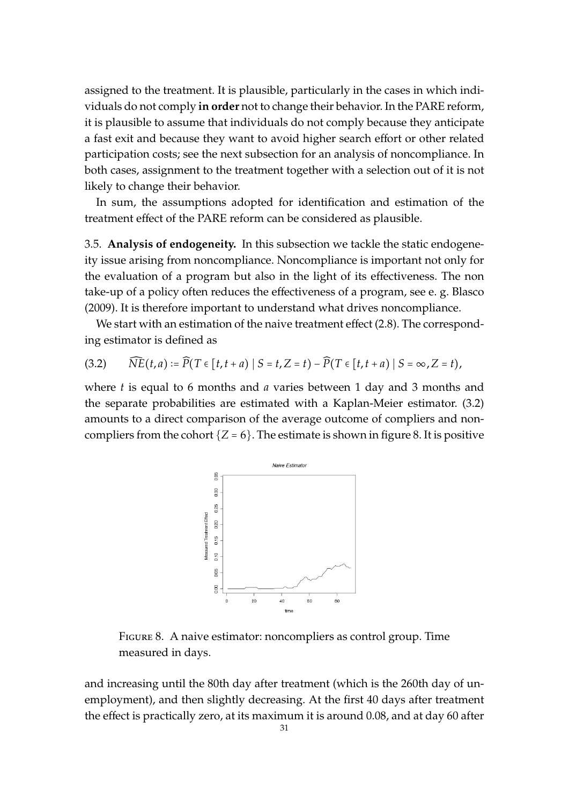assigned to the treatment. It is plausible, particularly in the cases in which individuals do not comply **in order** not to change their behavior. In the PARE reform, it is plausible to assume that individuals do not comply because they anticipate a fast exit and because they want to avoid higher search effort or other related participation costs; see the next subsection for an analysis of noncompliance. In both cases, assignment to the treatment together with a selection out of it is not likely to change their behavior.

In sum, the assumptions adopted for identification and estimation of the treatment effect of the PARE reform can be considered as plausible.

3.5. **Analysis of endogeneity.** In this subsection we tackle the static endogeneity issue arising from noncompliance. Noncompliance is important not only for the evaluation of a program but also in the light of its effectiveness. The non take-up of a policy often reduces the effectiveness of a program, see e. g. Blasco (2009). It is therefore important to understand what drives noncompliance.

We start with an estimation of the naive treatment effect (2.8). The corresponding estimator is defined as

$$
(3.2) \qquad \widehat{NE}(t,a) := \widehat{P}(T \in [t,t+a) \mid S=t,Z=t) - \widehat{P}(T \in [t,t+a) \mid S=\infty,Z=t),
$$

where *t* is equal to 6 months and *a* varies between 1 day and 3 months and the separate probabilities are estimated with a Kaplan-Meier estimator. (3.2) amounts to a direct comparison of the average outcome of compliers and noncompliers from the cohort  ${Z = 6}$ . The estimate is shown in figure 8. It is positive



Figure 8. A naive estimator: noncompliers as control group. Time measured in days.

and increasing until the 80th day after treatment (which is the 260th day of unemployment), and then slightly decreasing. At the first 40 days after treatment the effect is practically zero, at its maximum it is around 0.08, and at day 60 after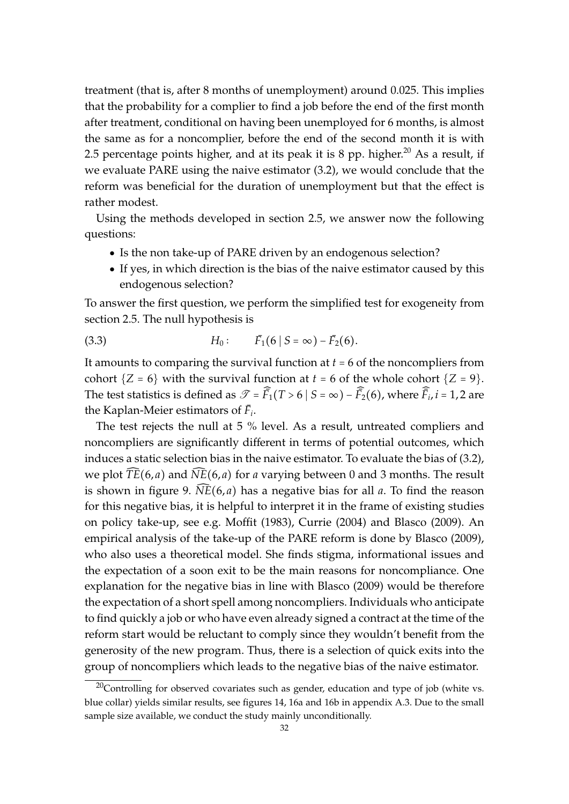treatment (that is, after 8 months of unemployment) around 0.025. This implies that the probability for a complier to find a job before the end of the first month after treatment, conditional on having been unemployed for 6 months, is almost the same as for a noncomplier, before the end of the second month it is with 2.5 percentage points higher, and at its peak it is 8 pp. higher.<sup>20</sup> As a result, if we evaluate PARE using the naive estimator (3.2), we would conclude that the reform was beneficial for the duration of unemployment but that the effect is rather modest.

Using the methods developed in section 2.5, we answer now the following questions:

- Is the non take-up of PARE driven by an endogenous selection?
- If yes, in which direction is the bias of the naive estimator caused by this endogenous selection?

To answer the first question, we perform the simplified test for exogeneity from section 2.5. The null hypothesis is

(3.3) 
$$
H_0: \qquad \bar{F}_1(6 \mid S = \infty) - \bar{F}_2(6).
$$

It amounts to comparing the survival function at *t* = 6 of the noncompliers from cohort  ${Z = 6}$  with the survival function at  $t = 6$  of the whole cohort  ${Z = 9}$ . The test statistics is defined as  $\mathscr{T} = \widehat{\bar{F}}_1(T > 6 \mid S = \infty) - \widehat{\bar{F}}_2(6)$ , where  $\widehat{\bar{F}}_i$ ,  $i = 1, 2$  are the Kaplan-Meier estimators of  $\bar{F}_i$ .

The test rejects the null at 5 % level. As a result, untreated compliers and noncompliers are significantly different in terms of potential outcomes, which induces a static selection bias in the naive estimator. To evaluate the bias of (3.2), we plot  $\overline{TE}(6, a)$  and  $\overline{NE}(6, a)$  for *a* varying between 0 and 3 months. The result is shown in figure 9.  $\widehat{NE}(6, a)$  has a negative bias for all *a*. To find the reason for this negative bias, it is helpful to interpret it in the frame of existing studies on policy take-up, see e.g. Moffit (1983), Currie (2004) and Blasco (2009). An empirical analysis of the take-up of the PARE reform is done by Blasco (2009), who also uses a theoretical model. She finds stigma, informational issues and the expectation of a soon exit to be the main reasons for noncompliance. One explanation for the negative bias in line with Blasco (2009) would be therefore the expectation of a short spell among noncompliers. Individuals who anticipate to find quickly a job or who have even already signed a contract at the time of the reform start would be reluctant to comply since they wouldn't benefit from the generosity of the new program. Thus, there is a selection of quick exits into the group of noncompliers which leads to the negative bias of the naive estimator.

 $20$ Controlling for observed covariates such as gender, education and type of job (white vs. blue collar) yields similar results, see figures 14, 16a and 16b in appendix A.3. Due to the small sample size available, we conduct the study mainly unconditionally.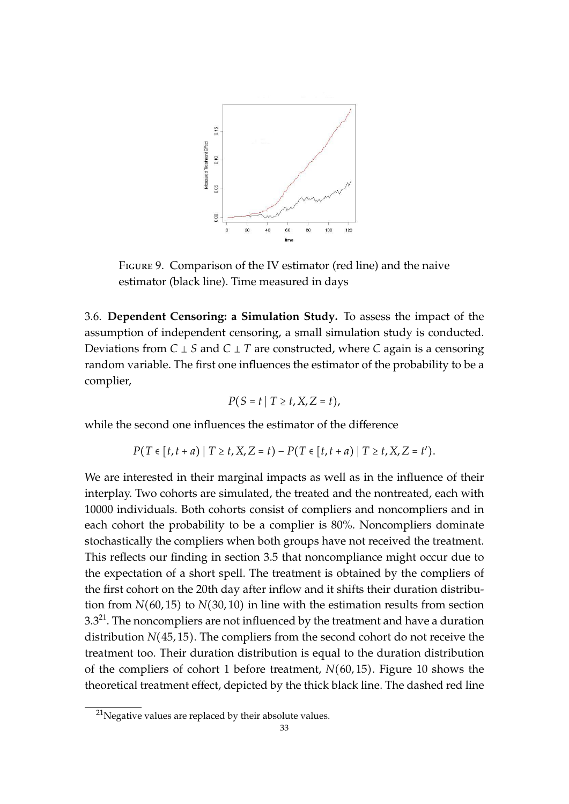

Figure 9. Comparison of the IV estimator (red line) and the naive estimator (black line). Time measured in days

3.6. **Dependent Censoring: a Simulation Study.** To assess the impact of the assumption of independent censoring, a small simulation study is conducted. Deviations from *C* ⊥ *S* and *C* ⊥ *T* are constructed, where *C* again is a censoring random variable. The first one influences the estimator of the probability to be a complier,

$$
P(S = t | T \ge t, X, Z = t),
$$

while the second one influences the estimator of the difference

$$
P(T \in [t, t + a) | T \ge t, X, Z = t) - P(T \in [t, t + a) | T \ge t, X, Z = t').
$$

We are interested in their marginal impacts as well as in the influence of their interplay. Two cohorts are simulated, the treated and the nontreated, each with 10000 individuals. Both cohorts consist of compliers and noncompliers and in each cohort the probability to be a complier is 80%. Noncompliers dominate stochastically the compliers when both groups have not received the treatment. This reflects our finding in section 3.5 that noncompliance might occur due to the expectation of a short spell. The treatment is obtained by the compliers of the first cohort on the 20th day after inflow and it shifts their duration distribution from *N*(60, 15) to *N*(30, 10) in line with the estimation results from section  $3.3^{21}$ . The noncompliers are not influenced by the treatment and have a duration distribution *N*(45, 15). The compliers from the second cohort do not receive the treatment too. Their duration distribution is equal to the duration distribution of the compliers of cohort 1 before treatment, *N*(60, 15). Figure 10 shows the theoretical treatment effect, depicted by the thick black line. The dashed red line

 $21$ Negative values are replaced by their absolute values.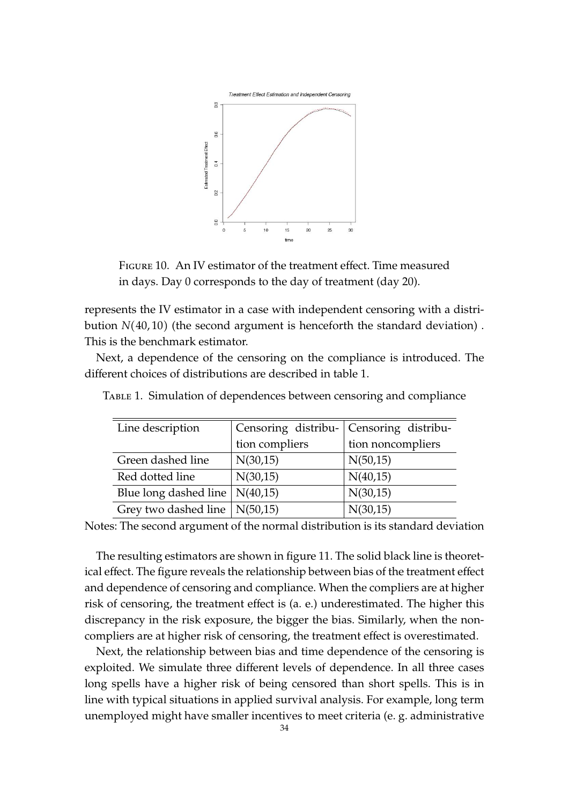

Figure 10. An IV estimator of the treatment effect. Time measured in days. Day 0 corresponds to the day of treatment (day 20).

represents the IV estimator in a case with independent censoring with a distribution *N*(40, 10) (the second argument is henceforth the standard deviation) . This is the benchmark estimator.

Next, a dependence of the censoring on the compliance is introduced. The different choices of distributions are described in table 1.

| Line description         | Censoring distribu- | Censoring distribu- |  |
|--------------------------|---------------------|---------------------|--|
|                          | tion compliers      | tion noncompliers   |  |
| Green dashed line        | N(30,15)            | N(50,15)            |  |
| Red dotted line          | N(30,15)            | N(40,15)            |  |
| Blue long dashed line    | N(40,15)            | N(30,15)            |  |
| Grey two dashed line $ $ | N(50,15)            | N(30,15)            |  |

TABLE 1. Simulation of dependences between censoring and compliance

Notes: The second argument of the normal distribution is its standard deviation

The resulting estimators are shown in figure 11. The solid black line is theoretical effect. The figure reveals the relationship between bias of the treatment effect and dependence of censoring and compliance. When the compliers are at higher risk of censoring, the treatment effect is (a. e.) underestimated. The higher this discrepancy in the risk exposure, the bigger the bias. Similarly, when the noncompliers are at higher risk of censoring, the treatment effect is overestimated.

Next, the relationship between bias and time dependence of the censoring is exploited. We simulate three different levels of dependence. In all three cases long spells have a higher risk of being censored than short spells. This is in line with typical situations in applied survival analysis. For example, long term unemployed might have smaller incentives to meet criteria (e. g. administrative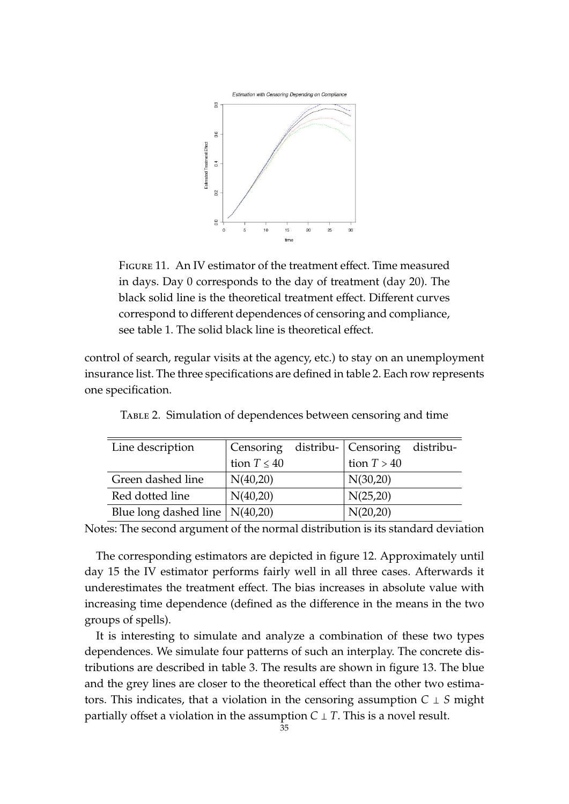

Figure 11. An IV estimator of the treatment effect. Time measured in days. Day 0 corresponds to the day of treatment (day 20). The black solid line is the theoretical treatment effect. Different curves correspond to different dependences of censoring and compliance, see table 1. The solid black line is theoretical effect.

control of search, regular visits at the agency, etc.) to stay on an unemployment insurance list. The three specifications are defined in table 2. Each row represents one specification.

| Line description                       |                  | Censoring distribu- Censoring distribu- |  |
|----------------------------------------|------------------|-----------------------------------------|--|
|                                        | tion $T \leq 40$ | tion $T > 40$                           |  |
| Green dashed line                      | N(40,20)         | N(30,20)                                |  |
| Red dotted line                        | N(40,20)         | N(25,20)                                |  |
| Blue long dashed line $\vert$ N(40,20) |                  | N(20,20)                                |  |

Table 2. Simulation of dependences between censoring and time

Notes: The second argument of the normal distribution is its standard deviation

The corresponding estimators are depicted in figure 12. Approximately until day 15 the IV estimator performs fairly well in all three cases. Afterwards it underestimates the treatment effect. The bias increases in absolute value with increasing time dependence (defined as the difference in the means in the two groups of spells).

It is interesting to simulate and analyze a combination of these two types dependences. We simulate four patterns of such an interplay. The concrete distributions are described in table 3. The results are shown in figure 13. The blue and the grey lines are closer to the theoretical effect than the other two estimators. This indicates, that a violation in the censoring assumption *C* ⊥ *S* might partially offset a violation in the assumption  $C \perp T$ . This is a novel result.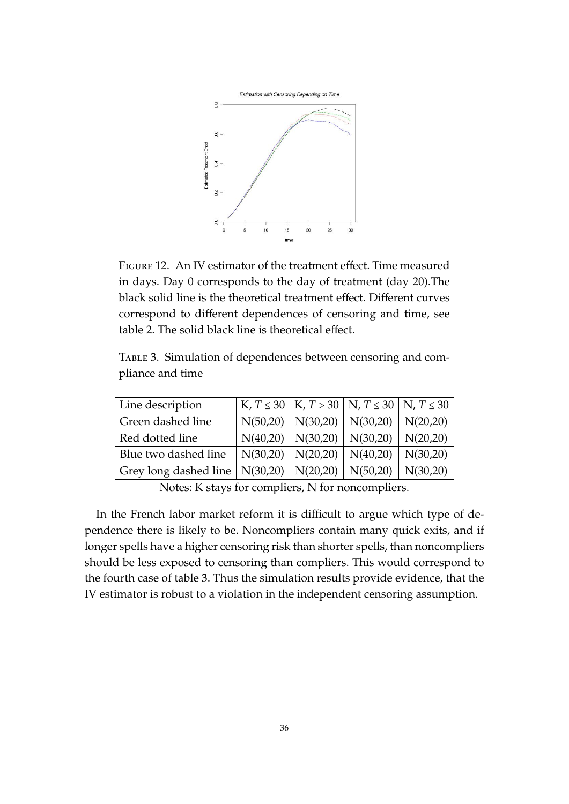

Figure 12. An IV estimator of the treatment effect. Time measured in days. Day 0 corresponds to the day of treatment (day 20).The black solid line is the theoretical treatment effect. Different curves correspond to different dependences of censoring and time, see table 2. The solid black line is theoretical effect.

TABLE 3. Simulation of dependences between censoring and compliance and time

| Line description      |          |          | K, $T \le 30 \mid K, T > 30 \mid N, T \le 30 \mid N, T \le 30$ |          |
|-----------------------|----------|----------|----------------------------------------------------------------|----------|
| Green dashed line     | N(50,20) | N(30,20) | N(30,20)                                                       | N(20,20) |
| Red dotted line       | N(40,20) | N(30,20) | N(30,20)                                                       | N(20,20) |
| Blue two dashed line  | N(30,20) | N(20,20) | N(40,20)                                                       | N(30,20) |
| Grey long dashed line | N(30,20) | N(20,20) | N(50,20)                                                       | N(30,20) |

Notes: K stays for compliers, N for noncompliers.

In the French labor market reform it is difficult to argue which type of dependence there is likely to be. Noncompliers contain many quick exits, and if longer spells have a higher censoring risk than shorter spells, than noncompliers should be less exposed to censoring than compliers. This would correspond to the fourth case of table 3. Thus the simulation results provide evidence, that the IV estimator is robust to a violation in the independent censoring assumption.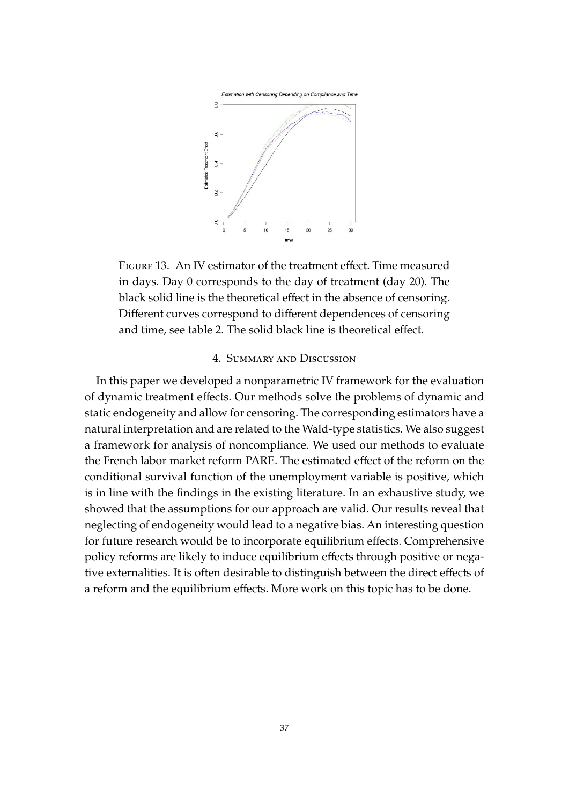

Figure 13. An IV estimator of the treatment effect. Time measured in days. Day 0 corresponds to the day of treatment (day 20). The black solid line is the theoretical effect in the absence of censoring. Different curves correspond to different dependences of censoring and time, see table 2. The solid black line is theoretical effect.

#### 4. Summary and Discussion

In this paper we developed a nonparametric IV framework for the evaluation of dynamic treatment effects. Our methods solve the problems of dynamic and static endogeneity and allow for censoring. The corresponding estimators have a natural interpretation and are related to the Wald-type statistics. We also suggest a framework for analysis of noncompliance. We used our methods to evaluate the French labor market reform PARE. The estimated effect of the reform on the conditional survival function of the unemployment variable is positive, which is in line with the findings in the existing literature. In an exhaustive study, we showed that the assumptions for our approach are valid. Our results reveal that neglecting of endogeneity would lead to a negative bias. An interesting question for future research would be to incorporate equilibrium effects. Comprehensive policy reforms are likely to induce equilibrium effects through positive or negative externalities. It is often desirable to distinguish between the direct effects of a reform and the equilibrium effects. More work on this topic has to be done.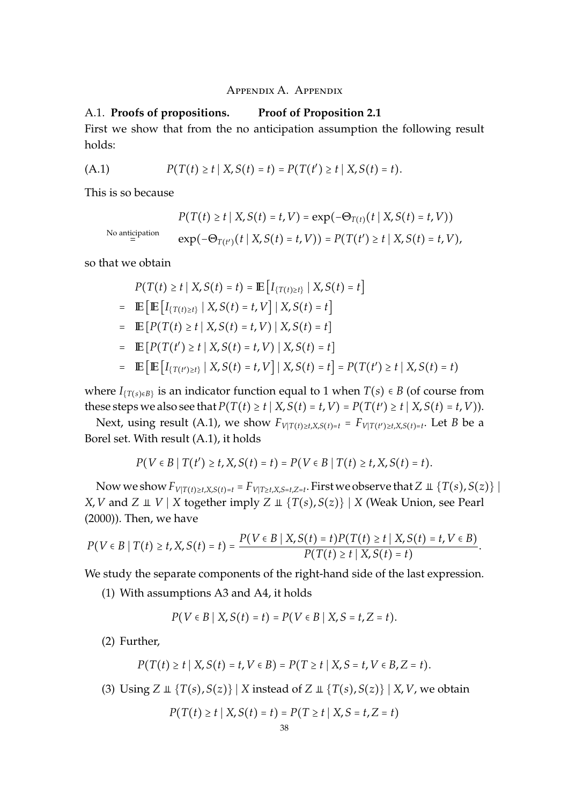#### Appendix A. Appendix

#### A.1. **Proofs of propositions. Proof of Proposition 2.1**

First we show that from the no anticipation assumption the following result holds:

(A.1) 
$$
P(T(t) \ge t | X, S(t) = t) = P(T(t') \ge t | X, S(t) = t).
$$

This is so because

$$
P(T(t) \ge t \mid X, S(t) = t, V) = \exp(-\Theta_{T(t)}(t \mid X, S(t) = t, V))
$$
  
No anticipation  

$$
\exp(-\Theta_{T(t')}(t \mid X, S(t) = t, V)) = P(T(t') \ge t \mid X, S(t) = t, V),
$$

so that we obtain

$$
P(T(t) \ge t | X, S(t) = t) = \mathbb{E} [I_{\{T(t) \ge t\}} | X, S(t) = t]
$$
  
=  $\mathbb{E} [\mathbb{E} [I_{\{T(t) \ge t\}} | X, S(t) = t, V] | X, S(t) = t]$   
=  $\mathbb{E} [P(T(t) \ge t | X, S(t) = t, V) | X, S(t) = t]$   
=  $\mathbb{E} [P(T(t') \ge t | X, S(t) = t, V) | X, S(t) = t]$   
=  $\mathbb{E} [\mathbb{E} [I_{\{T(t') \ge t\}} | X, S(t) = t, V] | X, S(t) = t] = P(T(t') \ge t | X, S(t) = t)$ 

where  $I_{\{T(s) \in B\}}$  is an indicator function equal to 1 when  $T(s) \in B$  (of course from these steps we also see that  $P(T(t) \ge t | X, S(t) = t, V) = P(T(t') \ge t | X, S(t) = t, V)$ .

Next, using result (A.1), we show  $F_{V|T(t)\geq t,X,S(t)=t} = F_{V|T(t')\geq t,X,S(t)=t}$ . Let *B* be a Borel set. With result (A.1), it holds

$$
P(V \in B \mid T(t') \ge t, X, S(t) = t) = P(V \in B \mid T(t) \ge t, X, S(t) = t).
$$

Now we show  $F_{V|T(t)\geq t, X, S(t)=t} = F_{V|T\geq t, X, S=t, Z=t}$ . First we observe that  $Z \perp \{T(s), S(z)\}\mid X$ *X*, *V* and *Z*  $\perp$  *V* | *X* together imply *Z*  $\perp$  {*T*(*s*), *S*(*z*)} | *X* (Weak Union, see Pearl (2000)). Then, we have

$$
P(V \in B \mid T(t) \geq t, X, S(t) = t) = \frac{P(V \in B \mid X, S(t) = t)P(T(t) \geq t \mid X, S(t) = t, V \in B)}{P(T(t) \geq t \mid X, S(t) = t)}.
$$

We study the separate components of the right-hand side of the last expression.

(1) With assumptions A3 and A4, it holds

$$
P(V \in B \mid X, S(t) = t) = P(V \in B \mid X, S = t, Z = t).
$$

(2) Further,

$$
P(T(t) \ge t | X, S(t) = t, V \in B) = P(T \ge t | X, S = t, V \in B, Z = t).
$$

(3) Using  $Z \perp \{T(s), S(z)\}$  |  $X$  instead of  $Z \perp \{T(s), S(z)\}$  |  $X, V$ , we obtain

$$
P(T(t) \ge t | X, S(t) = t) = P(T \ge t | X, S = t, Z = t)
$$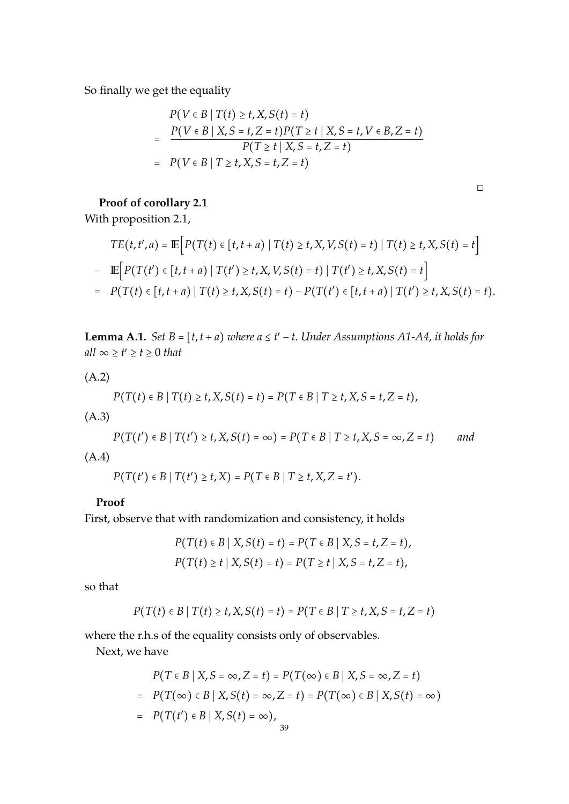So finally we get the equality

$$
P(V \in B | T(t) \ge t, X, S(t) = t)
$$
  
= 
$$
\frac{P(V \in B | X, S = t, Z = t)P(T \ge t | X, S = t, V \in B, Z = t)}{P(T \ge t | X, S = t, Z = t)}
$$
  
= 
$$
P(V \in B | T \ge t, X, S = t, Z = t)
$$

$$
\Box
$$

## **Proof of corollary 2.1**

With proposition 2.1,

$$
TE(t, t', a) = \mathbb{E}\Big[P(T(t) \in [t, t + a) | T(t) \ge t, X, V, S(t) = t) | T(t) \ge t, X, S(t) = t\Big]
$$
  
-  $\mathbb{E}\Big[P(T(t') \in [t, t + a) | T(t') \ge t, X, V, S(t) = t) | T(t') \ge t, X, S(t) = t\Big]$   
=  $P(T(t) \in [t, t + a) | T(t) \ge t, X, S(t) = t) - P(T(t') \in [t, t + a) | T(t') \ge t, X, S(t) = t).$ 

**Lemma A.1.** *Set B* =  $[t, t + a)$  *where a*  $\le t' - t$ *. Under Assumptions A1-A4, it holds for all* ∞  $\geq t' \geq t \geq 0$  *that* 

(A.2)

$$
P(T(t) \in B | T(t) \ge t, X, S(t) = t) = P(T \in B | T \ge t, X, S = t, Z = t),
$$

(A.3)

*P*(*T*(*t*<sup>*'*</sup>) ∈ *B* | *T*(*t'*) ≥ *t*, *X*, *S*(*t*) = ∞) = *P*(*T* ∈ *B* | *T* ≥ *t*, *X*, *S* = ∞, *Z* = *t*) *and* (A.4)

 $P(T(t') \in B | T(t') \ge t, X) = P(T \in B | T \ge t, X, Z = t').$ 

#### **Proof**

First, observe that with randomization and consistency, it holds

$$
P(T(t) \in B | X, S(t) = t) = P(T \in B | X, S = t, Z = t),
$$
  
 
$$
P(T(t) \ge t | X, S(t) = t) = P(T \ge t | X, S = t, Z = t),
$$

so that

$$
P(T(t) \in B | T(t) \ge t, X, S(t) = t) = P(T \in B | T \ge t, X, S = t, Z = t)
$$

where the r.h.s of the equality consists only of observables.

Next, we have

$$
P(T \in B | X, S = \infty, Z = t) = P(T(\infty) \in B | X, S = \infty, Z = t)
$$
  
= 
$$
P(T(\infty) \in B | X, S(t) = \infty, Z = t) = P(T(\infty) \in B | X, S(t) = \infty)
$$
  
= 
$$
P(T(t') \in B | X, S(t) = \infty),
$$
  
<sub>39</sub>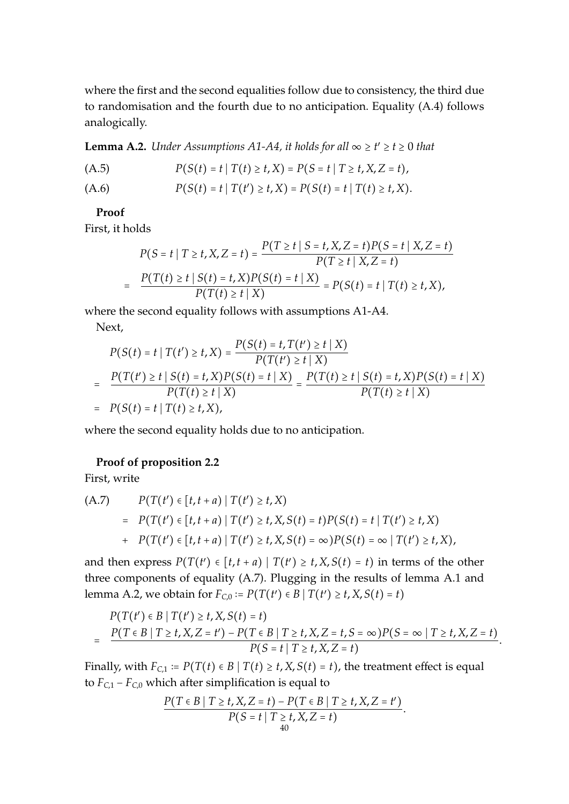where the first and the second equalities follow due to consistency, the third due to randomisation and the fourth due to no anticipation. Equality (A.4) follows analogically.

**Lemma A.2.** *Under Assumptions A1-A4, it holds for all*  $\infty \ge t' \ge t \ge 0$  *that* 

(A.5) 
$$
P(S(t) = t | T(t) \ge t, X) = P(S = t | T \ge t, X, Z = t),
$$

(A.6) 
$$
P(S(t) = t | T(t') \ge t, X) = P(S(t) = t | T(t) \ge t, X).
$$

#### **Proof**

First, it holds

$$
P(S = t | T \ge t, X, Z = t) = \frac{P(T \ge t | S = t, X, Z = t)P(S = t | X, Z = t)}{P(T \ge t | X, Z = t)}
$$
  
= 
$$
\frac{P(T(t) \ge t | S(t) = t, X)P(S(t) = t | X)}{P(T(t) \ge t | X)} = P(S(t) = t | T(t) \ge t, X),
$$

where the second equality follows with assumptions A1-A4.

Next,

$$
P(S(t) = t | T(t') \ge t, X) = \frac{P(S(t) = t, T(t') \ge t | X)}{P(T(t') \ge t | X)}
$$
  
= 
$$
\frac{P(T(t') \ge t | S(t) = t, X)P(S(t) = t | X)}{P(T(t) \ge t | X)} = \frac{P(T(t) \ge t | S(t) = t, X)P(S(t) = t | X)}{P(T(t) \ge t | X)}
$$
  
= 
$$
P(S(t) = t | T(t) \ge t, X),
$$

where the second equality holds due to no anticipation.

#### **Proof of proposition 2.2**

First, write

(A.7) 
$$
P(T(t') \in [t, t + a) | T(t') \ge t, X)
$$
  
= 
$$
P(T(t') \in [t, t + a) | T(t') \ge t, X, S(t) = t) P(S(t) = t | T(t') \ge t, X)
$$
  
+ 
$$
P(T(t') \in [t, t + a) | T(t') \ge t, X, S(t) = \infty) P(S(t) = \infty | T(t') \ge t, X),
$$

and then express  $P(T(t') \in [t, t + a) | T(t') \geq t, X, S(t) = t)$  in terms of the other three components of equality (A.7). Plugging in the results of lemma A.1 and lemma A.2, we obtain for  $F_{C,0} := P(T(t') \in B | T(t') \ge t, X, S(t) = t)$ 

$$
P(T(t') \in B | T(t') \ge t, X, S(t) = t)
$$
  
= 
$$
\frac{P(T \in B | T \ge t, X, Z = t') - P(T \in B | T \ge t, X, Z = t, S = \infty) P(S = \infty | T \ge t, X, Z = t)}{P(S = t | T \ge t, X, Z = t)}.
$$

Finally, with  $F_{C,1} := P(T(t) \in B | T(t) \ge t, X, S(t) = t)$ , the treatment effect is equal to  $F_{C,1} - F_{C,0}$  which after simplification is equal to

$$
\frac{P(T \in B \mid T \ge t, X, Z = t) - P(T \in B \mid T \ge t, X, Z = t')}{P(S = t \mid T \ge t, X, Z = t)}.
$$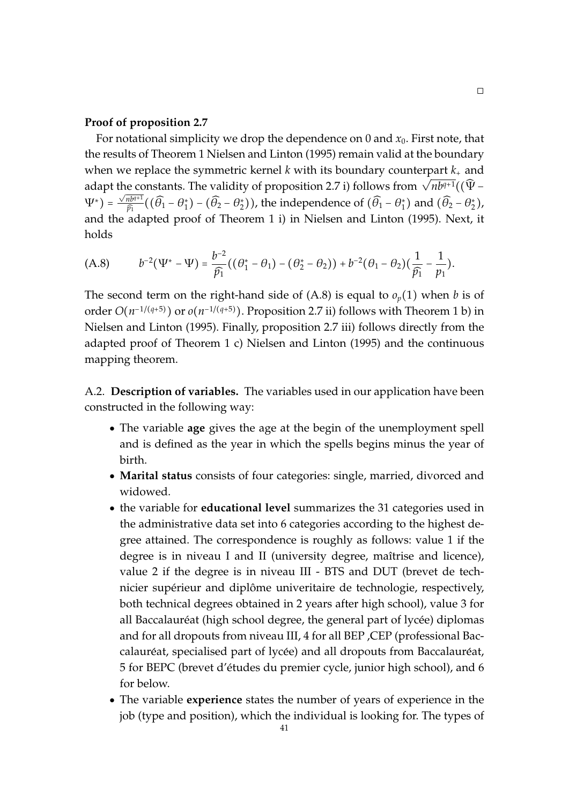#### **Proof of proposition 2.7**

For notational simplicity we drop the dependence on 0 and  $x_0$ . First note, that the results of Theorem 1 Nielsen and Linton (1995) remain valid at the boundary when we replace the symmetric kernel  $k$  with its boundary counterpart  $k_{+}$  and when we replace the symmetric kerner k with its boundary counterpart  $\kappa_{+}$  and adapt the constants. The validity of proposition 2.7 i) follows from  $\sqrt{nb^{q+1}}((\hat{\Psi} - \hat{\Psi}))$  $(\Psi^*) = \frac{\sqrt{nb^{q+1}}}{\widehat{p}_1}$  $\frac{n b^{q+1}}{\widehat{p_1}}((\widehat{\theta_1}-\theta_1^*)-(\widehat{\theta_2}-\theta_2^*))$ , the independence of  $(\widehat{\theta_1}-\theta_1^*)$  and  $(\widehat{\theta_2}-\theta_2^*)$ , and the adapted proof of Theorem 1 i) in Nielsen and Linton (1995). Next, it holds

$$
(A.8) \t b^{-2}( \Psi^* - \Psi) = \frac{b^{-2}}{\widehat{p_1}}((\theta_1^* - \theta_1) - (\theta_2^* - \theta_2)) + b^{-2}(\theta_1 - \theta_2)(\frac{1}{\widehat{p_1}} - \frac{1}{p_1}).
$$

The second term on the right-hand side of  $(A.8)$  is equal to  $o_p(1)$  when *b* is of order  $O(n^{-1/(q+5)})$  or  $o(n^{-1/(q+5)})$ . Proposition 2.7 ii) follows with Theorem 1 b) in Nielsen and Linton (1995). Finally, proposition 2.7 iii) follows directly from the adapted proof of Theorem 1 c) Nielsen and Linton (1995) and the continuous mapping theorem.

A.2. **Description of variables.** The variables used in our application have been constructed in the following way:

- The variable **age** gives the age at the begin of the unemployment spell and is defined as the year in which the spells begins minus the year of birth.
- **Marital status** consists of four categories: single, married, divorced and widowed.
- the variable for **educational level** summarizes the 31 categories used in the administrative data set into 6 categories according to the highest degree attained. The correspondence is roughly as follows: value 1 if the degree is in niveau I and II (university degree, maîtrise and licence), value 2 if the degree is in niveau III - BTS and DUT (brevet de technicier supérieur and diplôme univeritaire de technologie, respectively, both technical degrees obtained in 2 years after high school), value 3 for all Baccalauréat (high school degree, the general part of lycée) diplomas and for all dropouts from niveau III, 4 for all BEP ,CEP (professional Baccalauréat, specialised part of lycée) and all dropouts from Baccalauréat, 5 for BEPC (brevet d'etudes du premier cycle, junior high school), and 6 ´ for below.
- The variable **experience** states the number of years of experience in the job (type and position), which the individual is looking for. The types of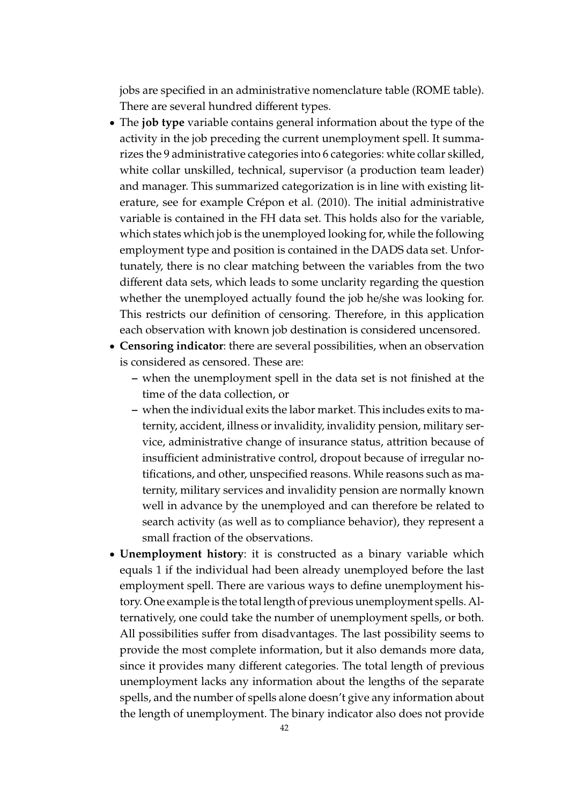jobs are specified in an administrative nomenclature table (ROME table). There are several hundred different types.

- The **job type** variable contains general information about the type of the activity in the job preceding the current unemployment spell. It summarizes the 9 administrative categories into 6 categories: white collar skilled, white collar unskilled, technical, supervisor (a production team leader) and manager. This summarized categorization is in line with existing literature, see for example Crépon et al. (2010). The initial administrative variable is contained in the FH data set. This holds also for the variable, which states which job is the unemployed looking for, while the following employment type and position is contained in the DADS data set. Unfortunately, there is no clear matching between the variables from the two different data sets, which leads to some unclarity regarding the question whether the unemployed actually found the job he/she was looking for. This restricts our definition of censoring. Therefore, in this application each observation with known job destination is considered uncensored.
- **Censoring indicator**: there are several possibilities, when an observation is considered as censored. These are:
	- **–** when the unemployment spell in the data set is not finished at the time of the data collection, or
	- **–** when the individual exits the labor market. This includes exits to maternity, accident, illness or invalidity, invalidity pension, military service, administrative change of insurance status, attrition because of insufficient administrative control, dropout because of irregular notifications, and other, unspecified reasons. While reasons such as maternity, military services and invalidity pension are normally known well in advance by the unemployed and can therefore be related to search activity (as well as to compliance behavior), they represent a small fraction of the observations.
- **Unemployment history**: it is constructed as a binary variable which equals 1 if the individual had been already unemployed before the last employment spell. There are various ways to define unemployment history. One example is the total length of previous unemployment spells. Alternatively, one could take the number of unemployment spells, or both. All possibilities suffer from disadvantages. The last possibility seems to provide the most complete information, but it also demands more data, since it provides many different categories. The total length of previous unemployment lacks any information about the lengths of the separate spells, and the number of spells alone doesn't give any information about the length of unemployment. The binary indicator also does not provide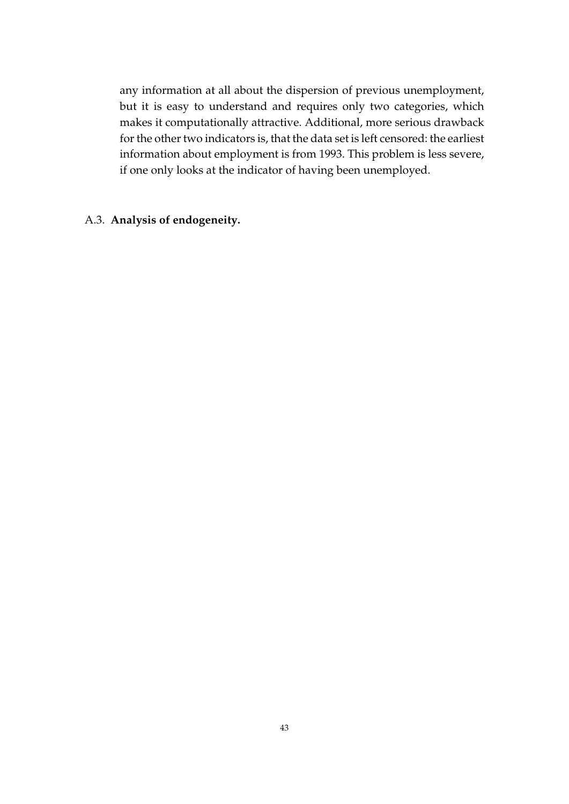any information at all about the dispersion of previous unemployment, but it is easy to understand and requires only two categories, which makes it computationally attractive. Additional, more serious drawback for the other two indicators is, that the data set is left censored: the earliest information about employment is from 1993. This problem is less severe, if one only looks at the indicator of having been unemployed.

#### A.3. **Analysis of endogeneity.**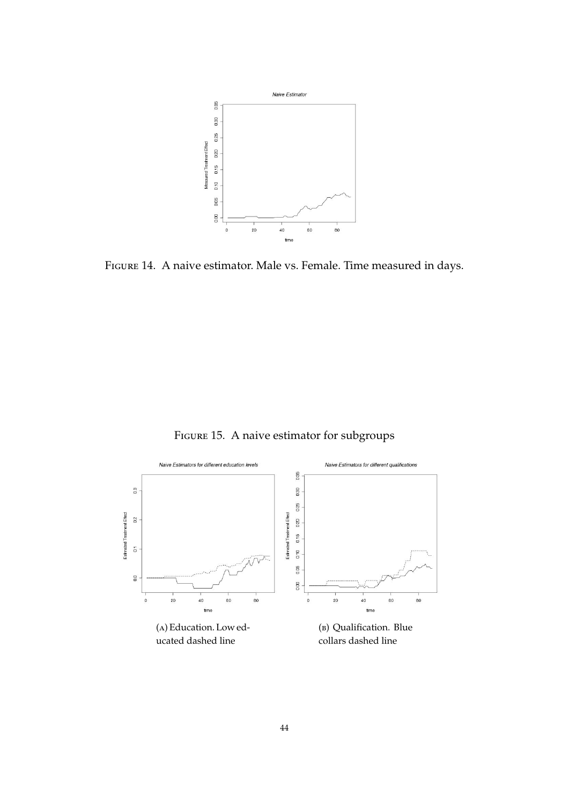

Figure 14. A naive estimator. Male vs. Female. Time measured in days.

Figure 15. A naive estimator for subgroups

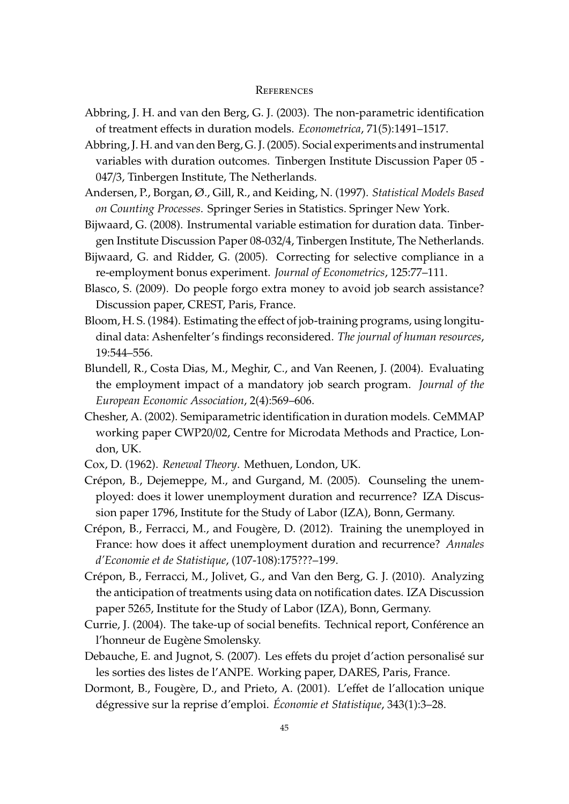#### **REFERENCES**

- Abbring, J. H. and van den Berg, G. J. (2003). The non-parametric identification of treatment effects in duration models. *Econometrica*, 71(5):1491–1517.
- Abbring, J. H. and van den Berg, G. J. (2005). Social experiments and instrumental variables with duration outcomes. Tinbergen Institute Discussion Paper 05 - 047/3, Tinbergen Institute, The Netherlands.
- Andersen, P., Borgan, Ø., Gill, R., and Keiding, N. (1997). *Statistical Models Based on Counting Processes*. Springer Series in Statistics. Springer New York.
- Bijwaard, G. (2008). Instrumental variable estimation for duration data. Tinbergen Institute Discussion Paper 08-032/4, Tinbergen Institute, The Netherlands.
- Bijwaard, G. and Ridder, G. (2005). Correcting for selective compliance in a re-employment bonus experiment. *Journal of Econometrics*, 125:77–111.
- Blasco, S. (2009). Do people forgo extra money to avoid job search assistance? Discussion paper, CREST, Paris, France.
- Bloom, H. S. (1984). Estimating the effect of job-training programs, using longitudinal data: Ashenfelter's findings reconsidered. *The journal of human resources*, 19:544–556.
- Blundell, R., Costa Dias, M., Meghir, C., and Van Reenen, J. (2004). Evaluating the employment impact of a mandatory job search program. *Journal of the European Economic Association*, 2(4):569–606.
- Chesher, A. (2002). Semiparametric identification in duration models. CeMMAP working paper CWP20/02, Centre for Microdata Methods and Practice, London, UK.
- Cox, D. (1962). *Renewal Theory*. Methuen, London, UK.
- Crépon, B., Dejemeppe, M., and Gurgand, M. (2005). Counseling the unemployed: does it lower unemployment duration and recurrence? IZA Discussion paper 1796, Institute for the Study of Labor (IZA), Bonn, Germany.
- Crépon, B., Ferracci, M., and Fougère, D. (2012). Training the unemployed in France: how does it affect unemployment duration and recurrence? *Annales d'Economie et de Statistique*, (107-108):175???–199.
- Crépon, B., Ferracci, M., Jolivet, G., and Van den Berg, G. J. (2010). Analyzing the anticipation of treatments using data on notification dates. IZA Discussion paper 5265, Institute for the Study of Labor (IZA), Bonn, Germany.
- Currie, J. (2004). The take-up of social benefits. Technical report, Conférence an l'honneur de Eugène Smolensky.
- Debauche, E. and Jugnot, S. (2007). Les effets du projet d'action personalise sur ´ les sorties des listes de l'ANPE. Working paper, DARES, Paris, France.
- Dormont, B., Fougère, D., and Prieto, A. (2001). L'effet de l'allocation unique dégressive sur la reprise d'emploi. *Économie et Statistique*, 343(1):3–28.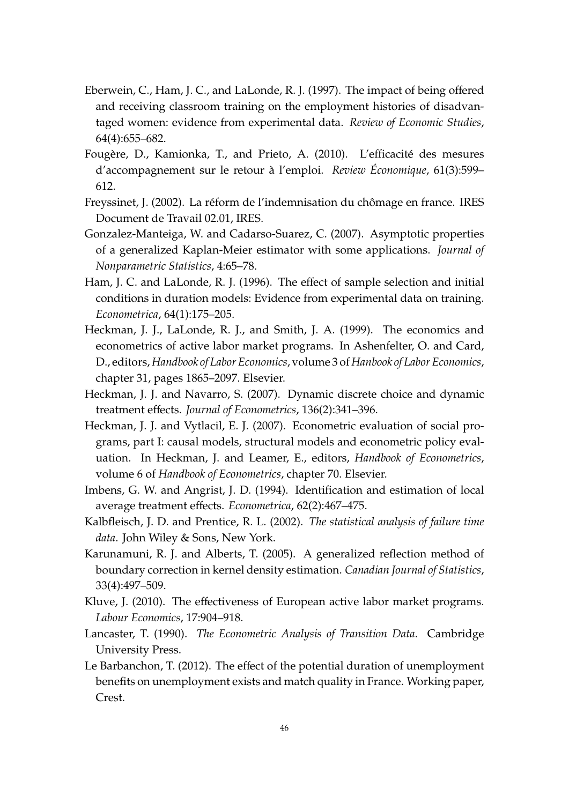- Eberwein, C., Ham, J. C., and LaLonde, R. J. (1997). The impact of being offered and receiving classroom training on the employment histories of disadvantaged women: evidence from experimental data. *Review of Economic Studies*, 64(4):655–682.
- Fougère, D., Kamionka, T., and Prieto, A. (2010). L'efficacité des mesures d'accompagnement sur le retour a l'emploi. ` *Review Economique ´* , 61(3):599– 612.
- Freyssinet, J. (2002). La réform de l'indemnisation du chômage en france. IRES Document de Travail 02.01, IRES.
- Gonzalez-Manteiga, W. and Cadarso-Suarez, C. (2007). Asymptotic properties of a generalized Kaplan-Meier estimator with some applications. *Journal of Nonparametric Statistics*, 4:65–78.
- Ham, J. C. and LaLonde, R. J. (1996). The effect of sample selection and initial conditions in duration models: Evidence from experimental data on training. *Econometrica*, 64(1):175–205.
- Heckman, J. J., LaLonde, R. J., and Smith, J. A. (1999). The economics and econometrics of active labor market programs. In Ashenfelter, O. and Card, D., editors,*Handbook of Labor Economics*, volume 3 of*Hanbook of Labor Economics*, chapter 31, pages 1865–2097. Elsevier.
- Heckman, J. J. and Navarro, S. (2007). Dynamic discrete choice and dynamic treatment effects. *Journal of Econometrics*, 136(2):341–396.
- Heckman, J. J. and Vytlacil, E. J. (2007). Econometric evaluation of social programs, part I: causal models, structural models and econometric policy evaluation. In Heckman, J. and Leamer, E., editors, *Handbook of Econometrics*, volume 6 of *Handbook of Econometrics*, chapter 70. Elsevier.
- Imbens, G. W. and Angrist, J. D. (1994). Identification and estimation of local average treatment effects. *Econometrica*, 62(2):467–475.
- Kalbfleisch, J. D. and Prentice, R. L. (2002). *The statistical analysis of failure time data*. John Wiley & Sons, New York.
- Karunamuni, R. J. and Alberts, T. (2005). A generalized reflection method of boundary correction in kernel density estimation. *Canadian Journal of Statistics*, 33(4):497–509.
- Kluve, J. (2010). The effectiveness of European active labor market programs. *Labour Economics*, 17:904–918.
- Lancaster, T. (1990). *The Econometric Analysis of Transition Data*. Cambridge University Press.
- Le Barbanchon, T. (2012). The effect of the potential duration of unemployment benefits on unemployment exists and match quality in France. Working paper, Crest.